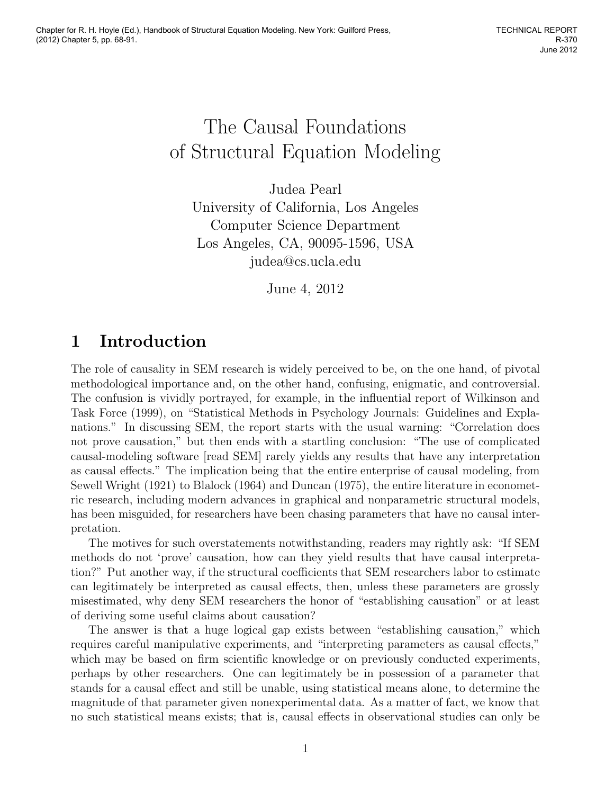# The Causal Foundations of Structural Equation Modeling

Judea Pearl University of California, Los Angeles Computer Science Department Los Angeles, CA, 90095-1596, USA judea@cs.ucla.edu

June 4, 2012

# 1 Introduction

The role of causality in SEM research is widely perceived to be, on the one hand, of pivotal methodological importance and, on the other hand, confusing, enigmatic, and controversial. The confusion is vividly portrayed, for example, in the influential report of Wilkinson and Task Force (1999), on "Statistical Methods in Psychology Journals: Guidelines and Explanations." In discussing SEM, the report starts with the usual warning: "Correlation does not prove causation," but then ends with a startling conclusion: "The use of complicated causal-modeling software [read SEM] rarely yields any results that have any interpretation as causal effects." The implication being that the entire enterprise of causal modeling, from Sewell Wright (1921) to Blalock (1964) and Duncan (1975), the entire literature in econometric research, including modern advances in graphical and nonparametric structural models, has been misguided, for researchers have been chasing parameters that have no causal interpretation.

The motives for such overstatements notwithstanding, readers may rightly ask: "If SEM methods do not 'prove' causation, how can they yield results that have causal interpretation?" Put another way, if the structural coefficients that SEM researchers labor to estimate can legitimately be interpreted as causal effects, then, unless these parameters are grossly misestimated, why deny SEM researchers the honor of "establishing causation" or at least of deriving some useful claims about causation?

The answer is that a huge logical gap exists between "establishing causation," which requires careful manipulative experiments, and "interpreting parameters as causal effects," which may be based on firm scientific knowledge or on previously conducted experiments, perhaps by other researchers. One can legitimately be in possession of a parameter that stands for a causal effect and still be unable, using statistical means alone, to determine the magnitude of that parameter given nonexperimental data. As a matter of fact, we know that no such statistical means exists; that is, causal effects in observational studies can only be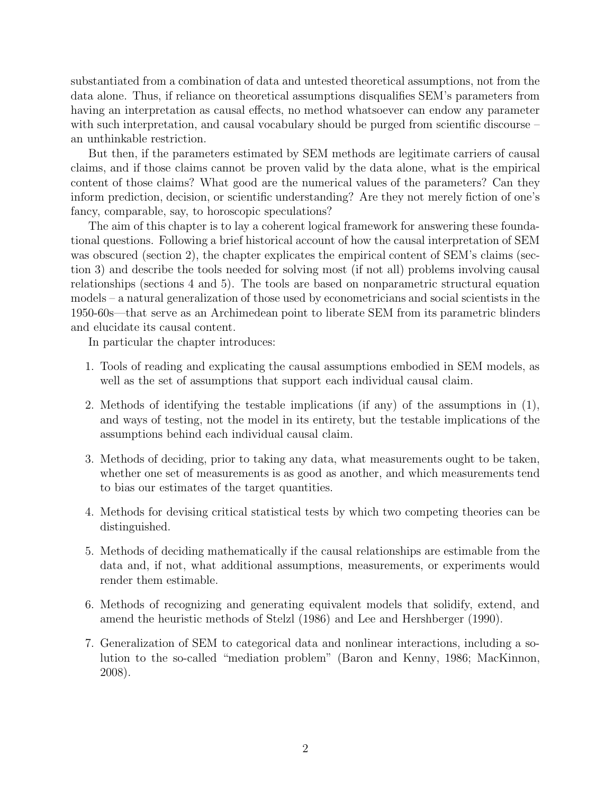substantiated from a combination of data and untested theoretical assumptions, not from the data alone. Thus, if reliance on theoretical assumptions disqualifies SEM's parameters from having an interpretation as causal effects, no method whatsoever can endow any parameter with such interpretation, and causal vocabulary should be purged from scientific discourse – an unthinkable restriction.

But then, if the parameters estimated by SEM methods are legitimate carriers of causal claims, and if those claims cannot be proven valid by the data alone, what is the empirical content of those claims? What good are the numerical values of the parameters? Can they inform prediction, decision, or scientific understanding? Are they not merely fiction of one's fancy, comparable, say, to horoscopic speculations?

The aim of this chapter is to lay a coherent logical framework for answering these foundational questions. Following a brief historical account of how the causal interpretation of SEM was obscured (section 2), the chapter explicates the empirical content of SEM's claims (section 3) and describe the tools needed for solving most (if not all) problems involving causal relationships (sections 4 and 5). The tools are based on nonparametric structural equation models – a natural generalization of those used by econometricians and social scientists in the 1950-60s—that serve as an Archimedean point to liberate SEM from its parametric blinders and elucidate its causal content.

In particular the chapter introduces:

- 1. Tools of reading and explicating the causal assumptions embodied in SEM models, as well as the set of assumptions that support each individual causal claim.
- 2. Methods of identifying the testable implications (if any) of the assumptions in (1), and ways of testing, not the model in its entirety, but the testable implications of the assumptions behind each individual causal claim.
- 3. Methods of deciding, prior to taking any data, what measurements ought to be taken, whether one set of measurements is as good as another, and which measurements tend to bias our estimates of the target quantities.
- 4. Methods for devising critical statistical tests by which two competing theories can be distinguished.
- 5. Methods of deciding mathematically if the causal relationships are estimable from the data and, if not, what additional assumptions, measurements, or experiments would render them estimable.
- 6. Methods of recognizing and generating equivalent models that solidify, extend, and amend the heuristic methods of Stelzl (1986) and Lee and Hershberger (1990).
- 7. Generalization of SEM to categorical data and nonlinear interactions, including a solution to the so-called "mediation problem" (Baron and Kenny, 1986; MacKinnon, 2008).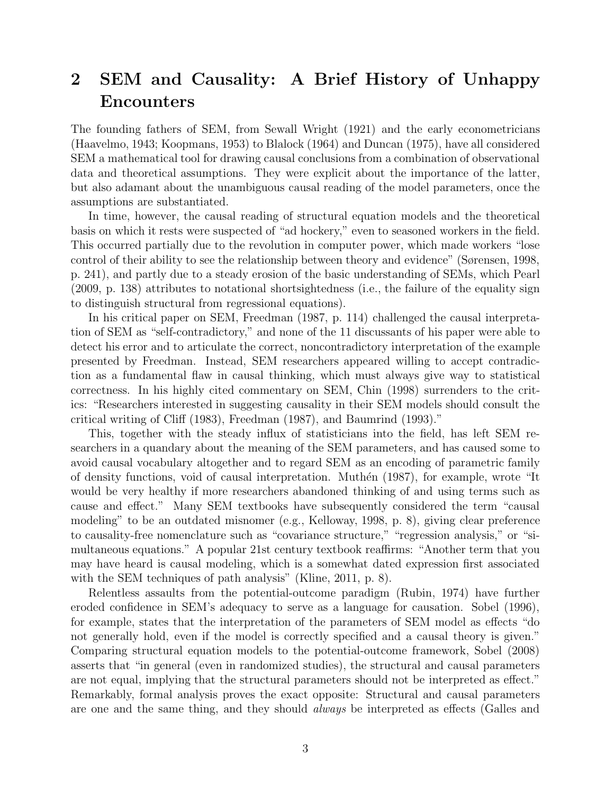# 2 SEM and Causality: A Brief History of Unhappy Encounters

The founding fathers of SEM, from Sewall Wright (1921) and the early econometricians (Haavelmo, 1943; Koopmans, 1953) to Blalock (1964) and Duncan (1975), have all considered SEM a mathematical tool for drawing causal conclusions from a combination of observational data and theoretical assumptions. They were explicit about the importance of the latter, but also adamant about the unambiguous causal reading of the model parameters, once the assumptions are substantiated.

In time, however, the causal reading of structural equation models and the theoretical basis on which it rests were suspected of "ad hockery," even to seasoned workers in the field. This occurred partially due to the revolution in computer power, which made workers "lose control of their ability to see the relationship between theory and evidence" (Sørensen, 1998, p. 241), and partly due to a steady erosion of the basic understanding of SEMs, which Pearl (2009, p. 138) attributes to notational shortsightedness (i.e., the failure of the equality sign to distinguish structural from regressional equations).

In his critical paper on SEM, Freedman (1987, p. 114) challenged the causal interpretation of SEM as "self-contradictory," and none of the 11 discussants of his paper were able to detect his error and to articulate the correct, noncontradictory interpretation of the example presented by Freedman. Instead, SEM researchers appeared willing to accept contradiction as a fundamental flaw in causal thinking, which must always give way to statistical correctness. In his highly cited commentary on SEM, Chin (1998) surrenders to the critics: "Researchers interested in suggesting causality in their SEM models should consult the critical writing of Cliff (1983), Freedman (1987), and Baumrind (1993)."

This, together with the steady influx of statisticians into the field, has left SEM researchers in a quandary about the meaning of the SEM parameters, and has caused some to avoid causal vocabulary altogether and to regard SEM as an encoding of parametric family of density functions, void of causal interpretation. Muthen (1987), for example, wrote "It would be very healthy if more researchers abandoned thinking of and using terms such as cause and effect." Many SEM textbooks have subsequently considered the term "causal modeling" to be an outdated misnomer (e.g., Kelloway, 1998, p. 8), giving clear preference to causality-free nomenclature such as "covariance structure," "regression analysis," or "simultaneous equations." A popular 21st century textbook reaffirms: "Another term that you may have heard is causal modeling, which is a somewhat dated expression first associated with the SEM techniques of path analysis" (Kline, 2011, p. 8).

Relentless assaults from the potential-outcome paradigm (Rubin, 1974) have further eroded confidence in SEM's adequacy to serve as a language for causation. Sobel (1996), for example, states that the interpretation of the parameters of SEM model as effects "do not generally hold, even if the model is correctly specified and a causal theory is given." Comparing structural equation models to the potential-outcome framework, Sobel (2008) asserts that "in general (even in randomized studies), the structural and causal parameters are not equal, implying that the structural parameters should not be interpreted as effect." Remarkably, formal analysis proves the exact opposite: Structural and causal parameters are one and the same thing, and they should *always* be interpreted as effects (Galles and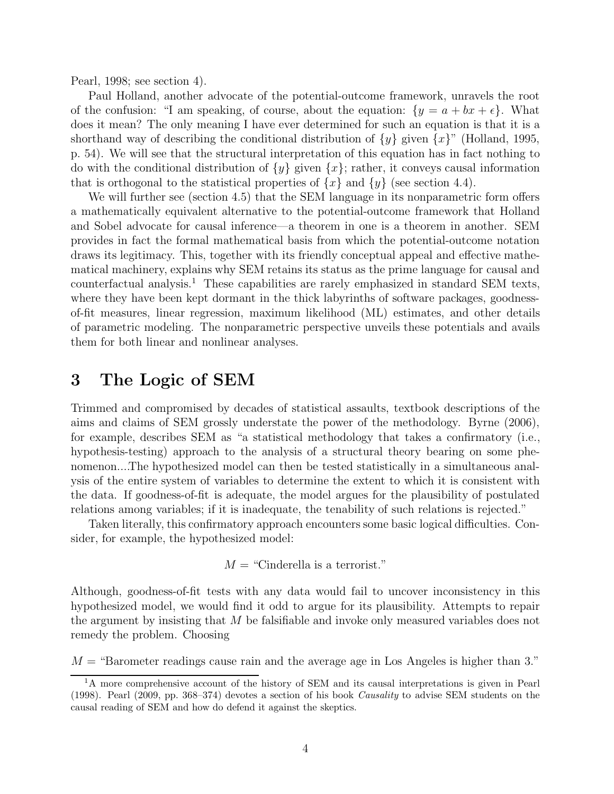Pearl, 1998; see section 4).

Paul Holland, another advocate of the potential-outcome framework, unravels the root of the confusion: "I am speaking, of course, about the equation:  $\{y = a + bx + \epsilon\}$ . What does it mean? The only meaning I have ever determined for such an equation is that it is a shorthand way of describing the conditional distribution of  $\{y\}$  given  $\{x\}$ " (Holland, 1995, p. 54). We will see that the structural interpretation of this equation has in fact nothing to do with the conditional distribution of  $\{y\}$  given  $\{x\}$ ; rather, it conveys causal information that is orthogonal to the statistical properties of  $\{x\}$  and  $\{y\}$  (see section 4.4).

We will further see (section 4.5) that the SEM language in its nonparametric form offers a mathematically equivalent alternative to the potential-outcome framework that Holland and Sobel advocate for causal inference—a theorem in one is a theorem in another. SEM provides in fact the formal mathematical basis from which the potential-outcome notation draws its legitimacy. This, together with its friendly conceptual appeal and effective mathematical machinery, explains why SEM retains its status as the prime language for causal and counterfactual analysis.<sup>1</sup> These capabilities are rarely emphasized in standard SEM texts, where they have been kept dormant in the thick labyrinths of software packages, goodnessof-fit measures, linear regression, maximum likelihood (ML) estimates, and other details of parametric modeling. The nonparametric perspective unveils these potentials and avails them for both linear and nonlinear analyses.

# 3 The Logic of SEM

Trimmed and compromised by decades of statistical assaults, textbook descriptions of the aims and claims of SEM grossly understate the power of the methodology. Byrne (2006), for example, describes SEM as "a statistical methodology that takes a confirmatory (i.e., hypothesis-testing) approach to the analysis of a structural theory bearing on some phenomenon....The hypothesized model can then be tested statistically in a simultaneous analysis of the entire system of variables to determine the extent to which it is consistent with the data. If goodness-of-fit is adequate, the model argues for the plausibility of postulated relations among variables; if it is inadequate, the tenability of such relations is rejected."

Taken literally, this confirmatory approach encounters some basic logical difficulties. Consider, for example, the hypothesized model:

$$
M = "Cinderella is a terrorist."]
$$

Although, goodness-of-fit tests with any data would fail to uncover inconsistency in this hypothesized model, we would find it odd to argue for its plausibility. Attempts to repair the argument by insisting that M be falsifiable and invoke only measured variables does not remedy the problem. Choosing

 $M =$  "Barometer readings cause rain and the average age in Los Angeles is higher than 3."

<sup>&</sup>lt;sup>1</sup>A more comprehensive account of the history of SEM and its causal interpretations is given in Pearl (1998). Pearl (2009, pp. 368–374) devotes a section of his book Causality to advise SEM students on the causal reading of SEM and how do defend it against the skeptics.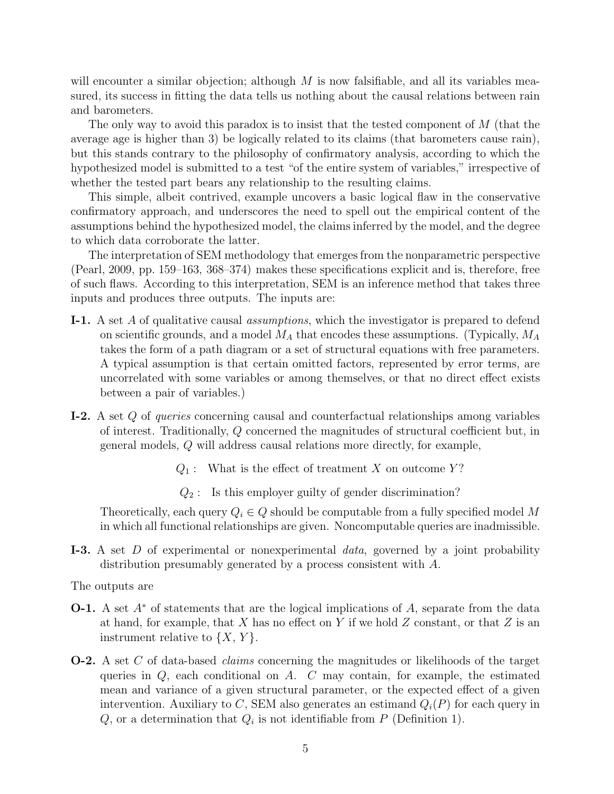will encounter a similar objection; although  $M$  is now falsifiable, and all its variables measured, its success in fitting the data tells us nothing about the causal relations between rain and barometers.

The only way to avoid this paradox is to insist that the tested component of  $M$  (that the average age is higher than 3) be logically related to its claims (that barometers cause rain), but this stands contrary to the philosophy of confirmatory analysis, according to which the hypothesized model is submitted to a test "of the entire system of variables," irrespective of whether the tested part bears any relationship to the resulting claims.

This simple, albeit contrived, example uncovers a basic logical flaw in the conservative confirmatory approach, and underscores the need to spell out the empirical content of the assumptions behind the hypothesized model, the claims inferred by the model, and the degree to which data corroborate the latter.

The interpretation of SEM methodology that emerges from the nonparametric perspective (Pearl, 2009, pp. 159–163, 368–374) makes these specifications explicit and is, therefore, free of such flaws. According to this interpretation, SEM is an inference method that takes three inputs and produces three outputs. The inputs are:

- I-1. A set A of qualitative causal assumptions, which the investigator is prepared to defend on scientific grounds, and a model  $M_A$  that encodes these assumptions. (Typically,  $M_A$ takes the form of a path diagram or a set of structural equations with free parameters. A typical assumption is that certain omitted factors, represented by error terms, are uncorrelated with some variables or among themselves, or that no direct effect exists between a pair of variables.)
- I-2. A set Q of queries concerning causal and counterfactual relationships among variables of interest. Traditionally, Q concerned the magnitudes of structural coefficient but, in general models, Q will address causal relations more directly, for example,

 $Q_1$ : What is the effect of treatment X on outcome Y?

 $Q_2$ : Is this employer guilty of gender discrimination?

Theoretically, each query  $Q_i \in Q$  should be computable from a fully specified model M in which all functional relationships are given. Noncomputable queries are inadmissible.

**I-3.** A set  $D$  of experimental or nonexperimental data, governed by a joint probability distribution presumably generated by a process consistent with A.

The outputs are

- **O-1.** A set  $A^*$  of statements that are the logical implications of A, separate from the data at hand, for example, that  $X$  has no effect on  $Y$  if we hold  $Z$  constant, or that  $Z$  is an instrument relative to  $\{X, Y\}.$
- O-2. A set C of data-based claims concerning the magnitudes or likelihoods of the target queries in  $Q$ , each conditional on  $A$ .  $C$  may contain, for example, the estimated mean and variance of a given structural parameter, or the expected effect of a given intervention. Auxiliary to C, SEM also generates an estimand  $Q_i(P)$  for each query in Q, or a determination that  $Q_i$  is not identifiable from P (Definition 1).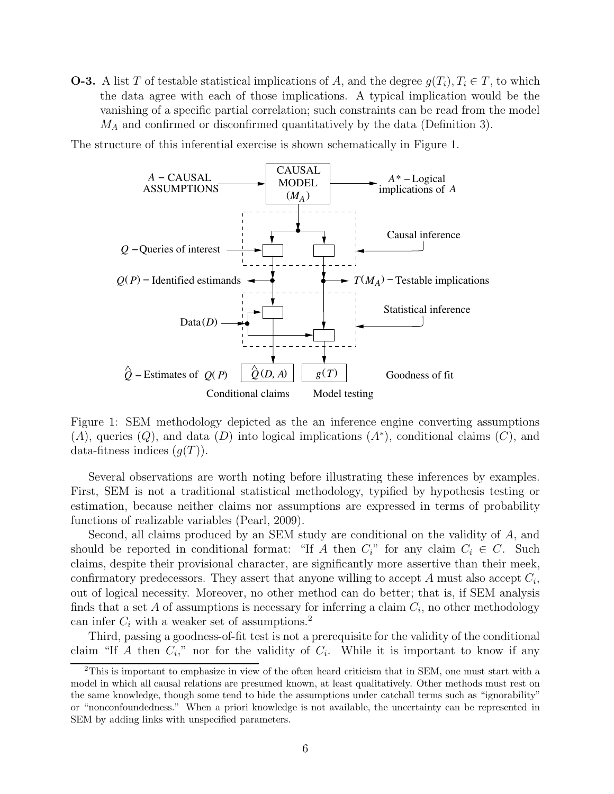**O-3.** A list T of testable statistical implications of A, and the degree  $g(T_i)$ ,  $T_i \in T$ , to which the data agree with each of those implications. A typical implication would be the vanishing of a specific partial correlation; such constraints can be read from the model  $M_A$  and confirmed or disconfirmed quantitatively by the data (Definition 3).

The structure of this inferential exercise is shown schematically in Figure 1.



Figure 1: SEM methodology depicted as the an inference engine converting assumptions  $(A)$ , queries  $(Q)$ , and data  $(D)$  into logical implications  $(A^*)$ , conditional claims  $(C)$ , and data-fitness indices  $(g(T))$ .

Several observations are worth noting before illustrating these inferences by examples. First, SEM is not a traditional statistical methodology, typified by hypothesis testing or estimation, because neither claims nor assumptions are expressed in terms of probability functions of realizable variables (Pearl, 2009).

Second, all claims produced by an SEM study are conditional on the validity of A, and should be reported in conditional format: "If A then  $C_i$ " for any claim  $C_i \in C$ . Such claims, despite their provisional character, are significantly more assertive than their meek, confirmatory predecessors. They assert that anyone willing to accept  $A$  must also accept  $C_i$ , out of logical necessity. Moreover, no other method can do better; that is, if SEM analysis finds that a set A of assumptions is necessary for inferring a claim  $C_i$ , no other methodology can infer  $C_i$  with a weaker set of assumptions.<sup>2</sup>

Third, passing a goodness-of-fit test is not a prerequisite for the validity of the conditional claim "If A then  $C_i$ ," nor for the validity of  $C_i$ . While it is important to know if any

<sup>2</sup>This is important to emphasize in view of the often heard criticism that in SEM, one must start with a model in which all causal relations are presumed known, at least qualitatively. Other methods must rest on the same knowledge, though some tend to hide the assumptions under catchall terms such as "ignorability" or "nonconfoundedness." When a priori knowledge is not available, the uncertainty can be represented in SEM by adding links with unspecified parameters.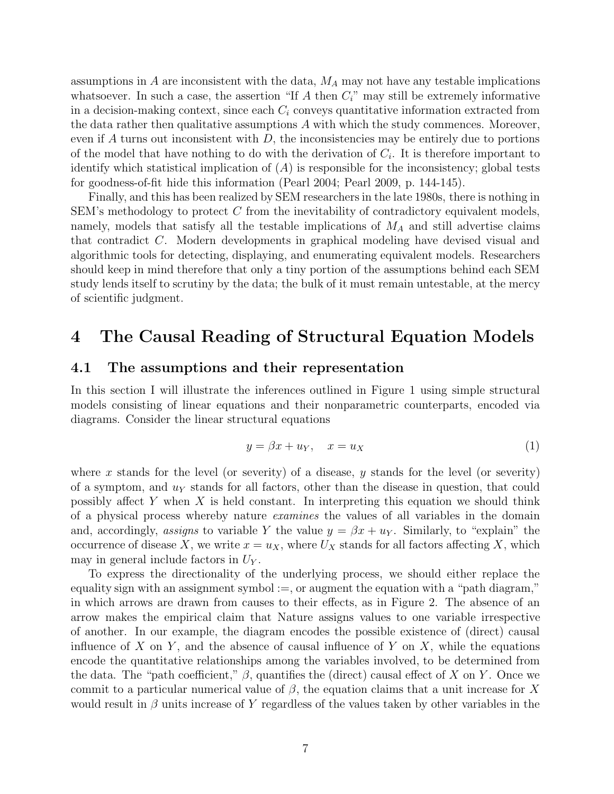assumptions in  $A$  are inconsistent with the data,  $M_A$  may not have any testable implications whatsoever. In such a case, the assertion "If A then  $C_i$ " may still be extremely informative in a decision-making context, since each  $C_i$  conveys quantitative information extracted from the data rather then qualitative assumptions A with which the study commences. Moreover, even if A turns out inconsistent with  $D$ , the inconsistencies may be entirely due to portions of the model that have nothing to do with the derivation of  $C_i$ . It is therefore important to identify which statistical implication of  $(A)$  is responsible for the inconsistency; global tests for goodness-of-fit hide this information (Pearl 2004; Pearl 2009, p. 144-145).

Finally, and this has been realized by SEM researchers in the late 1980s, there is nothing in SEM's methodology to protect C from the inevitability of contradictory equivalent models, namely, models that satisfy all the testable implications of  $M_A$  and still advertise claims that contradict C. Modern developments in graphical modeling have devised visual and algorithmic tools for detecting, displaying, and enumerating equivalent models. Researchers should keep in mind therefore that only a tiny portion of the assumptions behind each SEM study lends itself to scrutiny by the data; the bulk of it must remain untestable, at the mercy of scientific judgment.

# 4 The Causal Reading of Structural Equation Models

### 4.1 The assumptions and their representation

In this section I will illustrate the inferences outlined in Figure 1 using simple structural models consisting of linear equations and their nonparametric counterparts, encoded via diagrams. Consider the linear structural equations

$$
y = \beta x + u_Y, \quad x = u_X \tag{1}
$$

where x stands for the level (or severity) of a disease, y stands for the level (or severity) of a symptom, and  $u<sub>Y</sub>$  stands for all factors, other than the disease in question, that could possibly affect Y when  $X$  is held constant. In interpreting this equation we should think of a physical process whereby nature examines the values of all variables in the domain and, accordingly, assigns to variable Y the value  $y = \beta x + u_y$ . Similarly, to "explain" the occurrence of disease X, we write  $x = u_X$ , where  $U_X$  stands for all factors affecting X, which may in general include factors in  $U_Y$ .

To express the directionality of the underlying process, we should either replace the equality sign with an assignment symbol  $:=$ , or augment the equation with a "path diagram," in which arrows are drawn from causes to their effects, as in Figure 2. The absence of an arrow makes the empirical claim that Nature assigns values to one variable irrespective of another. In our example, the diagram encodes the possible existence of (direct) causal influence of X on Y, and the absence of causal influence of Y on X, while the equations encode the quantitative relationships among the variables involved, to be determined from the data. The "path coefficient,"  $\beta$ , quantifies the (direct) causal effect of X on Y. Once we commit to a particular numerical value of  $\beta$ , the equation claims that a unit increase for X would result in  $\beta$  units increase of Y regardless of the values taken by other variables in the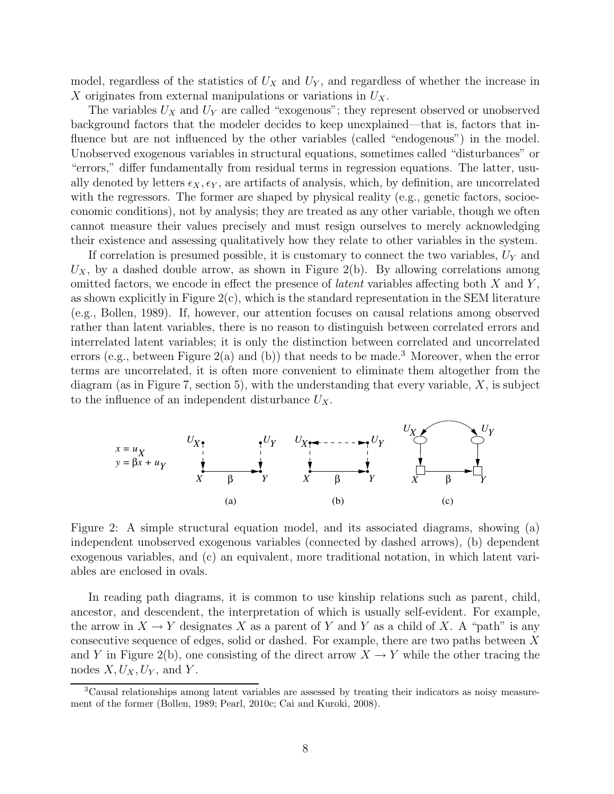model, regardless of the statistics of  $U_X$  and  $U_Y$ , and regardless of whether the increase in X originates from external manipulations or variations in  $U_X$ .

The variables  $U_X$  and  $U_Y$  are called "exogenous"; they represent observed or unobserved background factors that the modeler decides to keep unexplained—that is, factors that influence but are not influenced by the other variables (called "endogenous") in the model. Unobserved exogenous variables in structural equations, sometimes called "disturbances" or "errors," differ fundamentally from residual terms in regression equations. The latter, usually denoted by letters  $\epsilon_X, \epsilon_Y$ , are artifacts of analysis, which, by definition, are uncorrelated with the regressors. The former are shaped by physical reality (e.g., genetic factors, socioeconomic conditions), not by analysis; they are treated as any other variable, though we often cannot measure their values precisely and must resign ourselves to merely acknowledging their existence and assessing qualitatively how they relate to other variables in the system.

If correlation is presumed possible, it is customary to connect the two variables,  $U_Y$  and  $U_X$ , by a dashed double arrow, as shown in Figure 2(b). By allowing correlations among omitted factors, we encode in effect the presence of *latent* variables affecting both  $X$  and  $Y$ , as shown explicitly in Figure  $2(c)$ , which is the standard representation in the SEM literature (e.g., Bollen, 1989). If, however, our attention focuses on causal relations among observed rather than latent variables, there is no reason to distinguish between correlated errors and interrelated latent variables; it is only the distinction between correlated and uncorrelated errors (e.g., between Figure 2(a) and (b)) that needs to be made.<sup>3</sup> Moreover, when the error terms are uncorrelated, it is often more convenient to eliminate them altogether from the diagram (as in Figure 7, section 5), with the understanding that every variable,  $X$ , is subject to the influence of an independent disturbance  $U_X$ .



Figure 2: A simple structural equation model, and its associated diagrams, showing (a) independent unobserved exogenous variables (connected by dashed arrows), (b) dependent exogenous variables, and (c) an equivalent, more traditional notation, in which latent variables are enclosed in ovals.

In reading path diagrams, it is common to use kinship relations such as parent, child, ancestor, and descendent, the interpretation of which is usually self-evident. For example, the arrow in  $X \to Y$  designates X as a parent of Y and Y as a child of X. A "path" is any consecutive sequence of edges, solid or dashed. For example, there are two paths between X and Y in Figure 2(b), one consisting of the direct arrow  $X \to Y$  while the other tracing the nodes  $X, U_X, U_Y$ , and Y.

<sup>3</sup>Causal relationships among latent variables are assessed by treating their indicators as noisy measurement of the former (Bollen, 1989; Pearl, 2010c; Cai and Kuroki, 2008).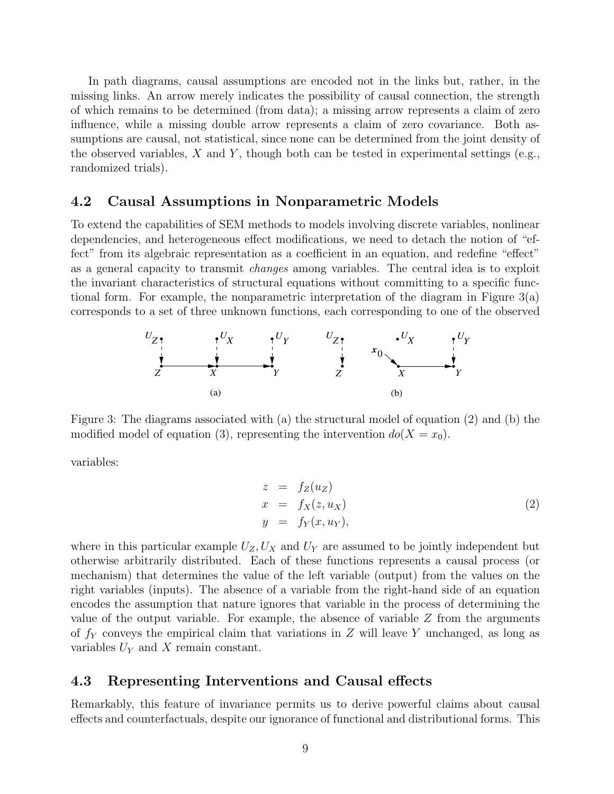In path diagrams, causal assumptions are encoded not in the links but, rather, in the missing links. An arrow merely indicates the possibility of causal connection, the strength of which remains to be determined (from data); a missing arrow represents a claim of zero influence, while a missing double arrow represents a claim of zero covariance. Both assumptions are causal, not statistical, since none can be determined from the joint density of the observed variables,  $X$  and  $Y$ , though both can be tested in experimental settings (e.g., randomized trials).

### 4.2 Causal Assumptions in Nonparametric Models

To extend the capabilities of SEM methods to models involving discrete variables, nonlinear dependencies, and heterogeneous effect modifications, we need to detach the notion of "effect" from its algebraic representation as a coefficient in an equation, and redefine "effect" as a general capacity to transmit changes among variables. The central idea is to exploit the invariant characteristics of structural equations without committing to a specific functional form. For example, the nonparametric interpretation of the diagram in Figure  $3(a)$ corresponds to a set of three unknown functions, each corresponding to one of the observed



Figure 3: The diagrams associated with (a) the structural model of equation (2) and (b) the modified model of equation (3), representing the intervention  $do(X = x_0)$ .

variables:

$$
z = f_Z(u_Z)
$$
  
\n
$$
x = f_X(z, u_X)
$$
  
\n
$$
y = f_Y(x, u_Y),
$$
\n(2)

where in this particular example  $U_Z, U_X$  and  $U_Y$  are assumed to be jointly independent but otherwise arbitrarily distributed. Each of these functions represents a causal process (or mechanism) that determines the value of the left variable (output) from the values on the right variables (inputs). The absence of a variable from the right-hand side of an equation encodes the assumption that nature ignores that variable in the process of determining the value of the output variable. For example, the absence of variable  $Z$  from the arguments of  $f<sub>Y</sub>$  conveys the empirical claim that variations in Z will leave Y unchanged, as long as variables  $U_Y$  and X remain constant.

# 4.3 Representing Interventions and Causal effects

Remarkably, this feature of invariance permits us to derive powerful claims about causal effects and counterfactuals, despite our ignorance of functional and distributional forms. This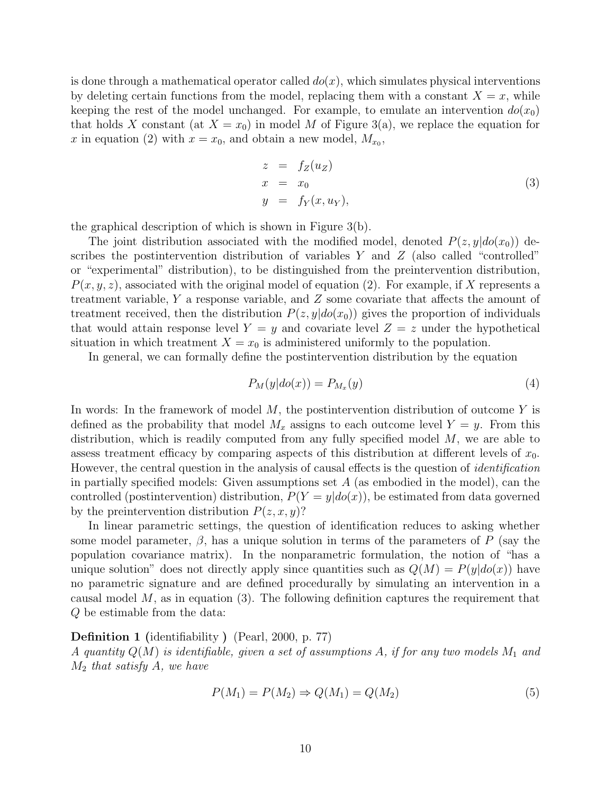is done through a mathematical operator called  $do(x)$ , which simulates physical interventions by deleting certain functions from the model, replacing them with a constant  $X = x$ , while keeping the rest of the model unchanged. For example, to emulate an intervention  $d\sigma(x_0)$ that holds X constant (at  $X = x_0$ ) in model M of Figure 3(a), we replace the equation for x in equation (2) with  $x = x_0$ , and obtain a new model,  $M_{x_0}$ ,

$$
z = f_Z(u_Z)
$$
  
\n
$$
x = x_0
$$
  
\n
$$
y = f_Y(x, u_Y),
$$
\n(3)

the graphical description of which is shown in Figure 3(b).

The joint distribution associated with the modified model, denoted  $P(z, y|do(x_0))$  describes the postintervention distribution of variables Y and Z (also called "controlled" or "experimental" distribution), to be distinguished from the preintervention distribution,  $P(x, y, z)$ , associated with the original model of equation (2). For example, if X represents a treatment variable, Y a response variable, and Z some covariate that affects the amount of treatment received, then the distribution  $P(z, y|do(x_0))$  gives the proportion of individuals that would attain response level  $Y = y$  and covariate level  $Z = z$  under the hypothetical situation in which treatment  $X = x_0$  is administered uniformly to the population.

In general, we can formally define the postintervention distribution by the equation

$$
P_M(y|do(x)) = P_{M_x}(y) \tag{4}
$$

In words: In the framework of model  $M$ , the postintervention distribution of outcome Y is defined as the probability that model  $M_x$  assigns to each outcome level  $Y = y$ . From this distribution, which is readily computed from any fully specified model  $M$ , we are able to assess treatment efficacy by comparing aspects of this distribution at different levels of  $x_0$ . However, the central question in the analysis of causal effects is the question of identification in partially specified models: Given assumptions set  $A$  (as embodied in the model), can the controlled (postintervention) distribution,  $P(Y = y|do(x))$ , be estimated from data governed by the preintervention distribution  $P(z, x, y)$ ?

In linear parametric settings, the question of identification reduces to asking whether some model parameter,  $\beta$ , has a unique solution in terms of the parameters of P (say the population covariance matrix). In the nonparametric formulation, the notion of "has a unique solution" does not directly apply since quantities such as  $Q(M) = P(y|do(x))$  have no parametric signature and are defined procedurally by simulating an intervention in a causal model  $M$ , as in equation (3). The following definition captures the requirement that Q be estimable from the data:

Definition 1 (identifiability ) (Pearl, 2000, p. 77)

A quantity  $Q(M)$  is identifiable, given a set of assumptions A, if for any two models  $M_1$  and  $M_2$  that satisfy A, we have

$$
P(M_1) = P(M_2) \Rightarrow Q(M_1) = Q(M_2)
$$
\n
$$
(5)
$$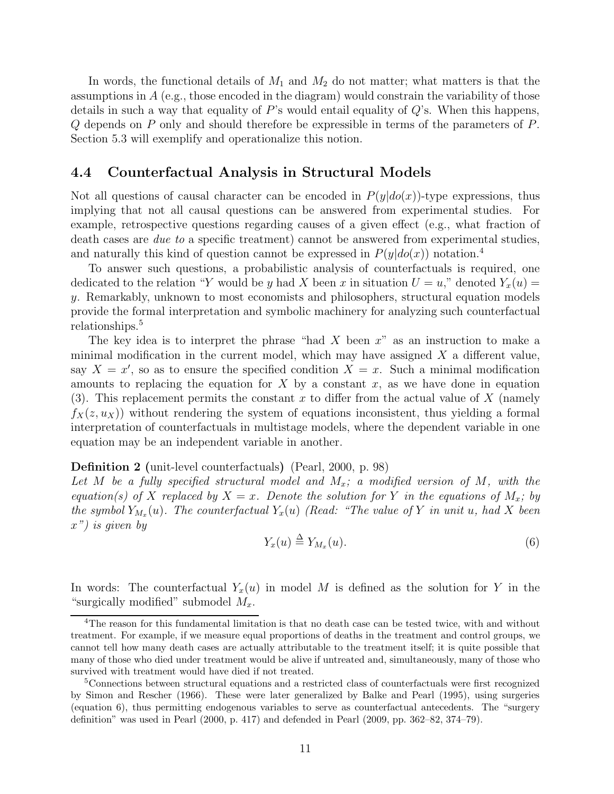In words, the functional details of  $M_1$  and  $M_2$  do not matter; what matters is that the assumptions in  $A$  (e.g., those encoded in the diagram) would constrain the variability of those details in such a way that equality of  $P$ 's would entail equality of  $Q$ 's. When this happens, Q depends on P only and should therefore be expressible in terms of the parameters of P. Section 5.3 will exemplify and operationalize this notion.

# 4.4 Counterfactual Analysis in Structural Models

Not all questions of causal character can be encoded in  $P(y|do(x))$ -type expressions, thus implying that not all causal questions can be answered from experimental studies. For example, retrospective questions regarding causes of a given effect (e.g., what fraction of death cases are *due to* a specific treatment) cannot be answered from experimental studies, and naturally this kind of question cannot be expressed in  $P(y|do(x))$  notation.<sup>4</sup>

To answer such questions, a probabilistic analysis of counterfactuals is required, one dedicated to the relation "Y would be y had X been x in situation  $U = u$ ," denoted  $Y_x(u) =$ y. Remarkably, unknown to most economists and philosophers, structural equation models provide the formal interpretation and symbolic machinery for analyzing such counterfactual relationships.<sup>5</sup>

The key idea is to interpret the phrase "had X been  $x$ " as an instruction to make a minimal modification in the current model, which may have assigned  $X$  a different value, say  $X = x'$ , so as to ensure the specified condition  $X = x$ . Such a minimal modification amounts to replacing the equation for  $X$  by a constant  $x$ , as we have done in equation (3). This replacement permits the constant x to differ from the actual value of  $X$  (namely  $f_X(z, u_X)$ ) without rendering the system of equations inconsistent, thus yielding a formal interpretation of counterfactuals in multistage models, where the dependent variable in one equation may be an independent variable in another.

#### Definition 2 (unit-level counterfactuals) (Pearl, 2000, p. 98)

Let M be a fully specified structural model and  $M_x$ ; a modified version of M, with the equation(s) of X replaced by  $X = x$ . Denote the solution for Y in the equations of  $M_x$ ; by the symbol  $Y_{M_x}(u)$ . The counterfactual  $Y_x(u)$  (Read: "The value of Y in unit u, had X been  $x'$ ) is given by

$$
Y_x(u) \stackrel{\Delta}{=} Y_{M_x}(u). \tag{6}
$$

In words: The counterfactual  $Y_x(u)$  in model M is defined as the solution for Y in the "surgically modified" submodel  $M_x$ .

<sup>4</sup>The reason for this fundamental limitation is that no death case can be tested twice, with and without treatment. For example, if we measure equal proportions of deaths in the treatment and control groups, we cannot tell how many death cases are actually attributable to the treatment itself; it is quite possible that many of those who died under treatment would be alive if untreated and, simultaneously, many of those who survived with treatment would have died if not treated.

<sup>5</sup>Connections between structural equations and a restricted class of counterfactuals were first recognized by Simon and Rescher (1966). These were later generalized by Balke and Pearl (1995), using surgeries (equation 6), thus permitting endogenous variables to serve as counterfactual antecedents. The "surgery definition" was used in Pearl (2000, p. 417) and defended in Pearl (2009, pp. 362–82, 374–79).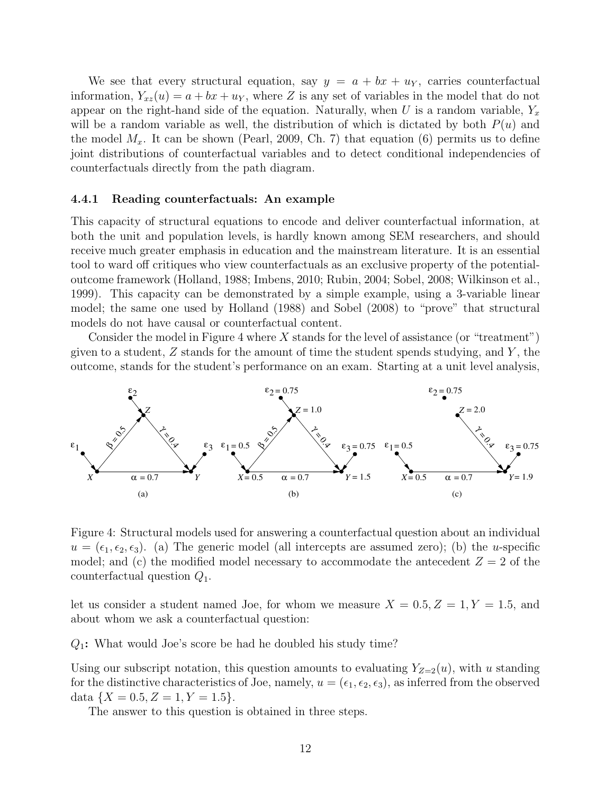We see that every structural equation, say  $y = a + bx + u<sub>Y</sub>$ , carries counterfactual information,  $Y_{xz}(u) = a + bx + u_Y$ , where Z is any set of variables in the model that do not appear on the right-hand side of the equation. Naturally, when U is a random variable,  $Y_x$ will be a random variable as well, the distribution of which is dictated by both  $P(u)$  and the model  $M_x$ . It can be shown (Pearl, 2009, Ch. 7) that equation (6) permits us to define joint distributions of counterfactual variables and to detect conditional independencies of counterfactuals directly from the path diagram.

#### 4.4.1 Reading counterfactuals: An example

This capacity of structural equations to encode and deliver counterfactual information, at both the unit and population levels, is hardly known among SEM researchers, and should receive much greater emphasis in education and the mainstream literature. It is an essential tool to ward off critiques who view counterfactuals as an exclusive property of the potentialoutcome framework (Holland, 1988; Imbens, 2010; Rubin, 2004; Sobel, 2008; Wilkinson et al., 1999). This capacity can be demonstrated by a simple example, using a 3-variable linear model; the same one used by Holland (1988) and Sobel (2008) to "prove" that structural models do not have causal or counterfactual content.

Consider the model in Figure 4 where  $X$  stands for the level of assistance (or "treatment") given to a student,  $Z$  stands for the amount of time the student spends studying, and  $Y$ , the outcome, stands for the student's performance on an exam. Starting at a unit level analysis,



Figure 4: Structural models used for answering a counterfactual question about an individual  $u = (\epsilon_1, \epsilon_2, \epsilon_3)$ . (a) The generic model (all intercepts are assumed zero); (b) the u-specific model; and (c) the modified model necessary to accommodate the antecedent  $Z = 2$  of the counterfactual question  $Q_1$ .

let us consider a student named Joe, for whom we measure  $X = 0.5, Z = 1, Y = 1.5$ , and about whom we ask a counterfactual question:

 $Q_1$ : What would Joe's score be had he doubled his study time?

Using our subscript notation, this question amounts to evaluating  $Y_{Z=2}(u)$ , with u standing for the distinctive characteristics of Joe, namely,  $u = (\epsilon_1, \epsilon_2, \epsilon_3)$ , as inferred from the observed data  $\{X = 0.5, Z = 1, Y = 1.5\}.$ 

The answer to this question is obtained in three steps.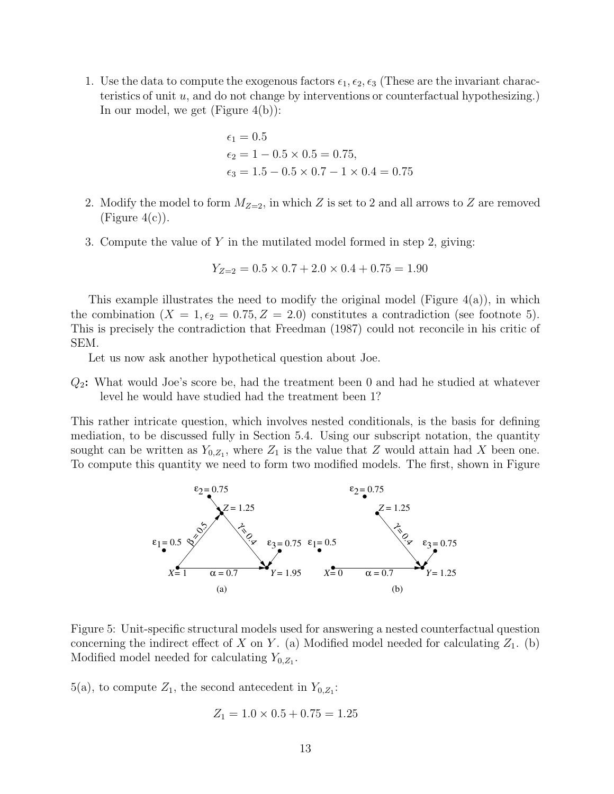1. Use the data to compute the exogenous factors  $\epsilon_1, \epsilon_2, \epsilon_3$  (These are the invariant characteristics of unit  $u$ , and do not change by interventions or counterfactual hypothesizing.) In our model, we get (Figure 4(b)):

$$
\epsilon_1 = 0.5
$$
  
\n
$$
\epsilon_2 = 1 - 0.5 \times 0.5 = 0.75,
$$
  
\n
$$
\epsilon_3 = 1.5 - 0.5 \times 0.7 - 1 \times 0.4 = 0.75
$$

- 2. Modify the model to form  $M_{Z=2}$ , in which Z is set to 2 and all arrows to Z are removed  $(Figure 4(c)).$
- 3. Compute the value of Y in the mutilated model formed in step 2, giving:

$$
Y_{Z=2} = 0.5 \times 0.7 + 2.0 \times 0.4 + 0.75 = 1.90
$$

This example illustrates the need to modify the original model (Figure  $4(a)$ ), in which the combination  $(X = 1, \epsilon_2 = 0.75, Z = 2.0)$  constitutes a contradiction (see footnote 5). This is precisely the contradiction that Freedman (1987) could not reconcile in his critic of SEM.

Let us now ask another hypothetical question about Joe.

 $Q_2$ : What would Joe's score be, had the treatment been 0 and had he studied at whatever level he would have studied had the treatment been 1?

This rather intricate question, which involves nested conditionals, is the basis for defining mediation, to be discussed fully in Section 5.4. Using our subscript notation, the quantity sought can be written as  $Y_{0,Z_1}$ , where  $Z_1$  is the value that Z would attain had X been one. To compute this quantity we need to form two modified models. The first, shown in Figure



Figure 5: Unit-specific structural models used for answering a nested counterfactual question concerning the indirect effect of X on Y. (a) Modified model needed for calculating  $Z_1$ . (b) Modified model needed for calculating  $Y_{0,Z_1}$ .

 $5(a)$ , to compute  $Z_1$ , the second antecedent in  $Y_{0,Z_1}$ :

$$
Z_1 = 1.0 \times 0.5 + 0.75 = 1.25
$$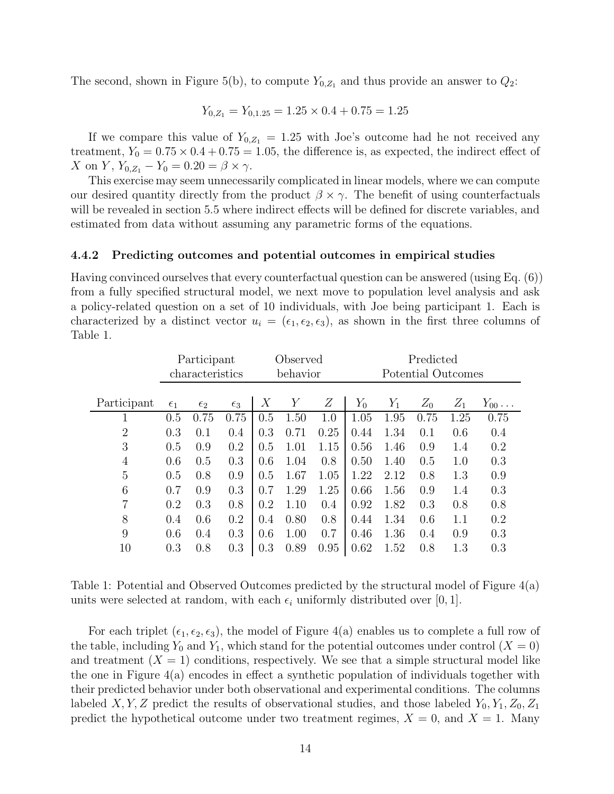The second, shown in Figure 5(b), to compute  $Y_{0,Z_1}$  and thus provide an answer to  $Q_2$ .

$$
Y_{0,Z_1} = Y_{0,1.25} = 1.25 \times 0.4 + 0.75 = 1.25
$$

If we compare this value of  $Y_{0,Z_1} = 1.25$  with Joe's outcome had he not received any treatment,  $Y_0 = 0.75 \times 0.4 + 0.75 = 1.05$ , the difference is, as expected, the indirect effect of X on Y,  $Y_{0,Z_1} - Y_0 = 0.20 = \beta \times \gamma$ .

This exercise may seem unnecessarily complicated in linear models, where we can compute our desired quantity directly from the product  $\beta \times \gamma$ . The benefit of using counterfactuals will be revealed in section 5.5 where indirect effects will be defined for discrete variables, and estimated from data without assuming any parametric forms of the equations.

#### 4.4.2 Predicting outcomes and potential outcomes in empirical studies

Having convinced ourselves that every counterfactual question can be answered (using Eq. (6)) from a fully specified structural model, we next move to population level analysis and ask a policy-related question on a set of 10 individuals, with Joe being participant 1. Each is characterized by a distinct vector  $u_i = (\epsilon_1, \epsilon_2, \epsilon_3)$ , as shown in the first three columns of Table 1.

|                | Participant<br>characteristics |              | Observed<br>behavior |       |      | Predicted<br>Potential Outcomes |       |       |       |       |                            |
|----------------|--------------------------------|--------------|----------------------|-------|------|---------------------------------|-------|-------|-------|-------|----------------------------|
| Participant    | $\epsilon_1$                   | $\epsilon_2$ | $\epsilon_3$         | $X\,$ | Υ    | Ζ                               | $Y_0$ | $Y_1$ | $Z_0$ | $Z_1$ | $Y_{00} \cdot \cdot \cdot$ |
| 1              | 0.5                            | 0.75         | 0.75                 | 0.5   | 1.50 | 1.0                             | 1.05  | 1.95  | 0.75  | 1.25  | 0.75                       |
| $\overline{2}$ | 0.3                            | 0.1          | 0.4                  | 0.3   | 0.71 | 0.25                            | 0.44  | 1.34  | 0.1   | 0.6   | 0.4                        |
| 3              | 0.5                            | 0.9          | 0.2                  | 0.5   | 1.01 | 1.15                            | 0.56  | 1.46  | 0.9   | 1.4   | 0.2                        |
| 4              | 0.6                            | 0.5          | 0.3                  | 0.6   | 1.04 | 0.8                             | 0.50  | 1.40  | 0.5   | 1.0   | 0.3                        |
| 5              | 0.5                            | 0.8          | 0.9                  | 0.5   | 1.67 | 1.05                            | 1.22  | 2.12  | 0.8   | 1.3   | 0.9                        |
| 6              | 0.7                            | 0.9          | 0.3                  | 0.7   | 1.29 | 1.25                            | 0.66  | 1.56  | 0.9   | 1.4   | 0.3                        |
| 7              | 0.2                            | 0.3          | 0.8                  | 0.2   | 1.10 | 0.4                             | 0.92  | 1.82  | 0.3   | 0.8   | 0.8                        |
| 8              | 0.4                            | 0.6          | 0.2                  | 0.4   | 0.80 | 0.8                             | 0.44  | 1.34  | 0.6   | 1.1   | 0.2                        |
| 9              | 0.6                            | 0.4          | 0.3                  | 0.6   | 1.00 | 0.7                             | 0.46  | 1.36  | 0.4   | 0.9   | 0.3                        |
| 10             | 0.3                            | 0.8          | 0.3                  | 0.3   | 0.89 | 0.95                            | 0.62  | 1.52  | 0.8   | 1.3   | 0.3                        |

Table 1: Potential and Observed Outcomes predicted by the structural model of Figure 4(a) units were selected at random, with each  $\epsilon_i$  uniformly distributed over  $[0, 1]$ .

For each triplet  $(\epsilon_1, \epsilon_2, \epsilon_3)$ , the model of Figure 4(a) enables us to complete a full row of the table, including  $Y_0$  and  $Y_1$ , which stand for the potential outcomes under control  $(X = 0)$ and treatment  $(X = 1)$  conditions, respectively. We see that a simple structural model like the one in Figure 4(a) encodes in effect a synthetic population of individuals together with their predicted behavior under both observational and experimental conditions. The columns labeled X, Y, Z predict the results of observational studies, and those labeled  $Y_0, Y_1, Z_0, Z_1$ predict the hypothetical outcome under two treatment regimes,  $X = 0$ , and  $X = 1$ . Many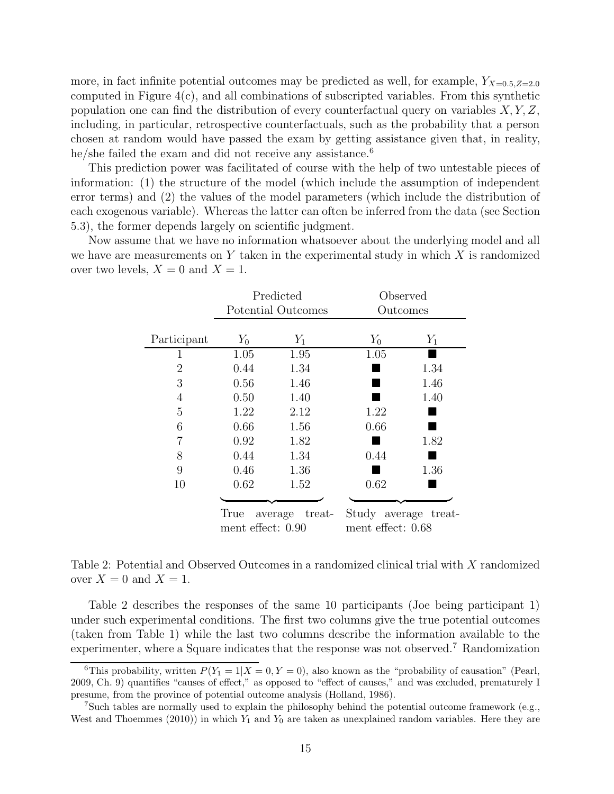more, in fact infinite potential outcomes may be predicted as well, for example,  $Y_{X=0.5, Z=2.0}$ computed in Figure 4(c), and all combinations of subscripted variables. From this synthetic population one can find the distribution of every counterfactual query on variables  $X, Y, Z$ , including, in particular, retrospective counterfactuals, such as the probability that a person chosen at random would have passed the exam by getting assistance given that, in reality, he/she failed the exam and did not receive any assistance.<sup>6</sup>

This prediction power was facilitated of course with the help of two untestable pieces of information: (1) the structure of the model (which include the assumption of independent error terms) and (2) the values of the model parameters (which include the distribution of each exogenous variable). Whereas the latter can often be inferred from the data (see Section 5.3), the former depends largely on scientific judgment.

Now assume that we have no information whatsoever about the underlying model and all we have are measurements on Y taken in the experimental study in which  $X$  is randomized over two levels,  $X = 0$  and  $X = 1$ .

|                |                   | Predicted          | Observed             |       |  |  |
|----------------|-------------------|--------------------|----------------------|-------|--|--|
|                |                   | Potential Outcomes | Outcomes             |       |  |  |
|                |                   |                    |                      |       |  |  |
| Participant    | $Y_0$             | $Y_1$              | $Y_0$                | $Y_1$ |  |  |
| 1              | 1.05              | 1.95               | 1.05                 |       |  |  |
| $\overline{2}$ | 0.44              | 1.34               |                      | 1.34  |  |  |
| 3              | 0.56              | 1.46               |                      | 1.46  |  |  |
| 4              | 0.50              | 1.40               |                      | 1.40  |  |  |
| 5              | 1.22              | 2.12               | 1.22                 |       |  |  |
| 6              | 0.66              | 1.56               | 0.66                 |       |  |  |
| 7              | 0.92              | 1.82               |                      | 1.82  |  |  |
| 8              | 0.44              | 1.34               | 0.44                 |       |  |  |
| 9              | 0.46              | 1.36               |                      | 1.36  |  |  |
| 10             | 0.62              | 1.52               | 0.62                 |       |  |  |
|                |                   |                    |                      |       |  |  |
|                | True              | treat-<br>average  | Study average treat- |       |  |  |
|                | ment effect: 0.90 |                    | ment effect: 0.68    |       |  |  |

Table 2: Potential and Observed Outcomes in a randomized clinical trial with X randomized over  $X = 0$  and  $X = 1$ .

Table 2 describes the responses of the same 10 participants (Joe being participant 1) under such experimental conditions. The first two columns give the true potential outcomes (taken from Table 1) while the last two columns describe the information available to the experimenter, where a Square indicates that the response was not observed.<sup>7</sup> Randomization

<sup>&</sup>lt;sup>6</sup>This probability, written  $P(Y_1 = 1 | X = 0, Y = 0)$ , also known as the "probability of causation" (Pearl, 2009, Ch. 9) quantifies "causes of effect," as opposed to "effect of causes," and was excluded, prematurely I presume, from the province of potential outcome analysis (Holland, 1986).

<sup>&</sup>lt;sup>7</sup>Such tables are normally used to explain the philosophy behind the potential outcome framework (e.g., West and Thoemmes  $(2010)$  in which  $Y_1$  and  $Y_0$  are taken as unexplained random variables. Here they are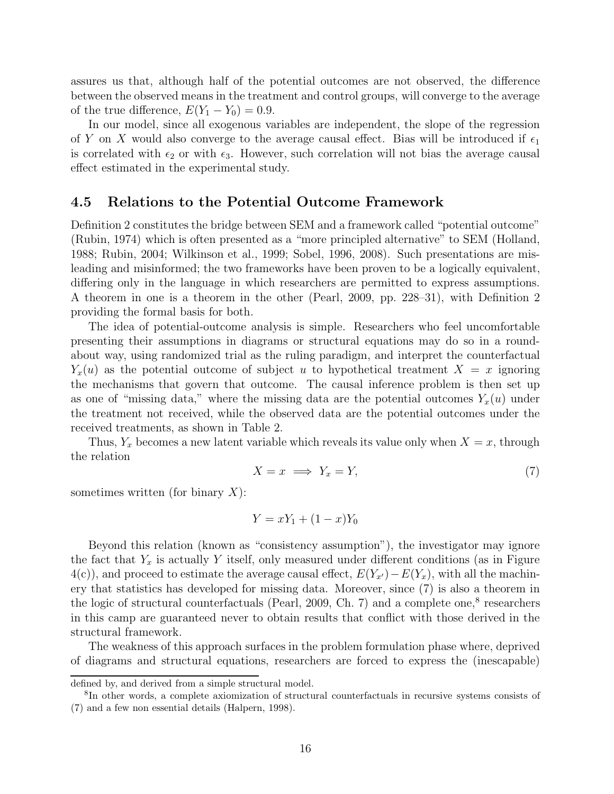assures us that, although half of the potential outcomes are not observed, the difference between the observed means in the treatment and control groups, will converge to the average of the true difference,  $E(Y_1 - Y_0) = 0.9$ .

In our model, since all exogenous variables are independent, the slope of the regression of Y on X would also converge to the average causal effect. Bias will be introduced if  $\epsilon_1$ is correlated with  $\epsilon_2$  or with  $\epsilon_3$ . However, such correlation will not bias the average causal effect estimated in the experimental study.

### 4.5 Relations to the Potential Outcome Framework

Definition 2 constitutes the bridge between SEM and a framework called "potential outcome" (Rubin, 1974) which is often presented as a "more principled alternative" to SEM (Holland, 1988; Rubin, 2004; Wilkinson et al., 1999; Sobel, 1996, 2008). Such presentations are misleading and misinformed; the two frameworks have been proven to be a logically equivalent, differing only in the language in which researchers are permitted to express assumptions. A theorem in one is a theorem in the other (Pearl, 2009, pp. 228–31), with Definition 2 providing the formal basis for both.

The idea of potential-outcome analysis is simple. Researchers who feel uncomfortable presenting their assumptions in diagrams or structural equations may do so in a roundabout way, using randomized trial as the ruling paradigm, and interpret the counterfactual  $Y_x(u)$  as the potential outcome of subject u to hypothetical treatment  $X = x$  ignoring the mechanisms that govern that outcome. The causal inference problem is then set up as one of "missing data," where the missing data are the potential outcomes  $Y_x(u)$  under the treatment not received, while the observed data are the potential outcomes under the received treatments, as shown in Table 2.

Thus,  $Y_x$  becomes a new latent variable which reveals its value only when  $X = x$ , through the relation

$$
X = x \implies Y_x = Y,\tag{7}
$$

sometimes written (for binary  $X$ ):

 $Y = xY_1 + (1 - x)Y_0$ 

Beyond this relation (known as "consistency assumption"), the investigator may ignore the fact that  $Y_x$  is actually Y itself, only measured under different conditions (as in Figure 4(c)), and proceed to estimate the average causal effect,  $E(Y_{x})-E(Y_{x})$ , with all the machinery that statistics has developed for missing data. Moreover, since (7) is also a theorem in the logic of structural counterfactuals (Pearl, 2009, Ch. 7) and a complete one,<sup>8</sup> researchers in this camp are guaranteed never to obtain results that conflict with those derived in the structural framework.

The weakness of this approach surfaces in the problem formulation phase where, deprived of diagrams and structural equations, researchers are forced to express the (inescapable)

defined by, and derived from a simple structural model.

<sup>8</sup> In other words, a complete axiomization of structural counterfactuals in recursive systems consists of (7) and a few non essential details (Halpern, 1998).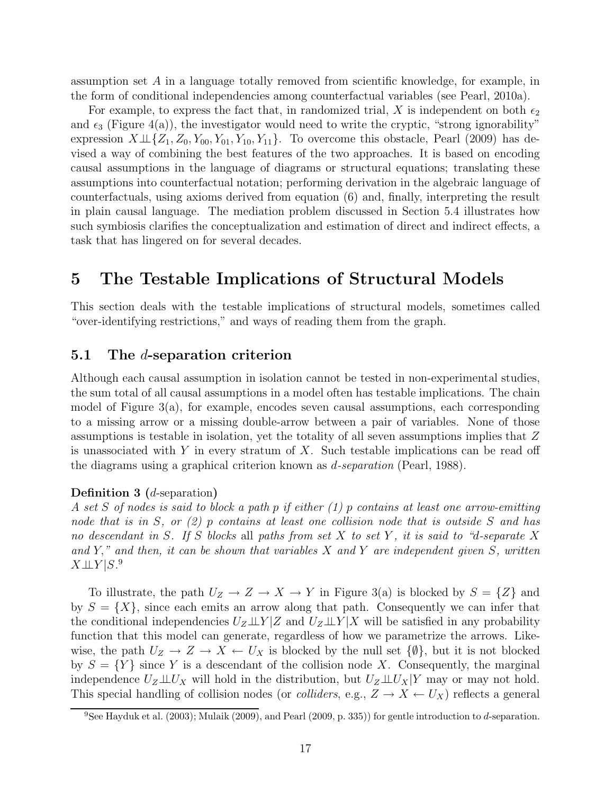assumption set A in a language totally removed from scientific knowledge, for example, in the form of conditional independencies among counterfactual variables (see Pearl, 2010a).

For example, to express the fact that, in randomized trial, X is independent on both  $\epsilon_2$ and  $\epsilon_3$  (Figure 4(a)), the investigator would need to write the cryptic, "strong ignorability" expression  $X \perp \!\!\!\perp \{Z_1, Z_0, Y_{00}, Y_{01}, Y_{10}, Y_{11}\}.$  To overcome this obstacle, Pearl (2009) has devised a way of combining the best features of the two approaches. It is based on encoding causal assumptions in the language of diagrams or structural equations; translating these assumptions into counterfactual notation; performing derivation in the algebraic language of counterfactuals, using axioms derived from equation (6) and, finally, interpreting the result in plain causal language. The mediation problem discussed in Section 5.4 illustrates how such symbiosis clarifies the conceptualization and estimation of direct and indirect effects, a task that has lingered on for several decades.

# 5 The Testable Implications of Structural Models

This section deals with the testable implications of structural models, sometimes called "over-identifying restrictions," and ways of reading them from the graph.

# 5.1 The *d*-separation criterion

Although each causal assumption in isolation cannot be tested in non-experimental studies, the sum total of all causal assumptions in a model often has testable implications. The chain model of Figure 3(a), for example, encodes seven causal assumptions, each corresponding to a missing arrow or a missing double-arrow between a pair of variables. None of those assumptions is testable in isolation, yet the totality of all seven assumptions implies that Z is unassociated with Y in every stratum of X. Such testable implications can be read off the diagrams using a graphical criterion known as d-separation (Pearl, 1988).

### Definition 3 (d-separation)

A set S of nodes is said to block a path p if either  $(1)$  p contains at least one arrow-emitting node that is in S, or  $(2)$  p contains at least one collision node that is outside S and has no descendant in S. If S blocks all paths from set X to set Y , it is said to "d-separate X and  $Y$ ," and then, it can be shown that variables  $X$  and  $Y$  are independent given  $S$ , written  $X \perp\!\!\!\perp Y | S.^9$ 

To illustrate, the path  $U_Z \to Z \to X \to Y$  in Figure 3(a) is blocked by  $S = \{Z\}$  and by  $S = \{X\}$ , since each emits an arrow along that path. Consequently we can infer that the conditional independencies  $U_Z \perp \!\!\!\perp Y | Z$  and  $U_Z \perp \!\!\!\perp Y | X$  will be satisfied in any probability function that this model can generate, regardless of how we parametrize the arrows. Likewise, the path  $U_Z \to Z \to X \leftarrow U_X$  is blocked by the null set  $\{\emptyset\}$ , but it is not blocked by  $S = \{Y\}$  since Y is a descendant of the collision node X. Consequently, the marginal independence  $U_Z \perp\!\!\!\perp U_X$  will hold in the distribution, but  $U_Z \perp\!\!\!\perp U_X | Y$  may or may not hold. This special handling of collision nodes (or *colliders*, e.g.,  $Z \to X \leftarrow U_X$ ) reflects a general

<sup>&</sup>lt;sup>9</sup>See Hayduk et al. (2003); Mulaik (2009), and Pearl (2009, p. 335)) for gentle introduction to d-separation.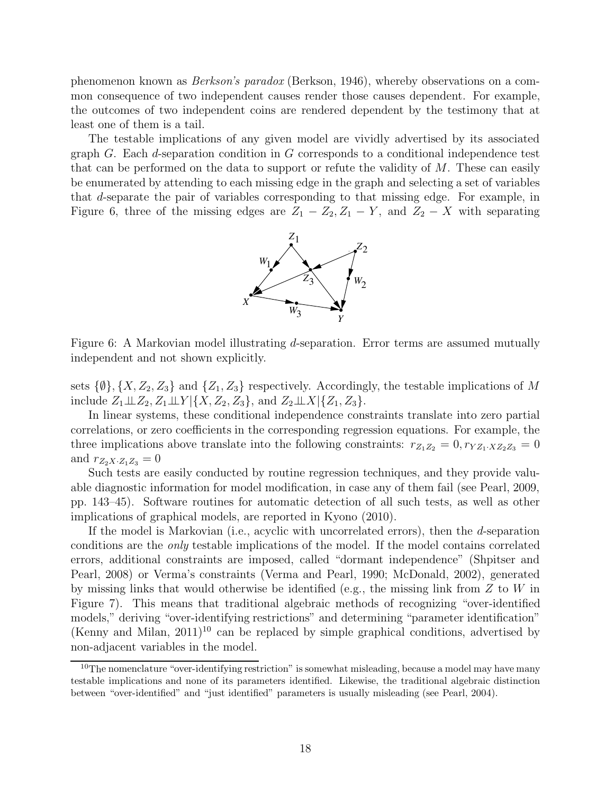phenomenon known as Berkson's paradox (Berkson, 1946), whereby observations on a common consequence of two independent causes render those causes dependent. For example, the outcomes of two independent coins are rendered dependent by the testimony that at least one of them is a tail.

The testable implications of any given model are vividly advertised by its associated graph G. Each d-separation condition in G corresponds to a conditional independence test that can be performed on the data to support or refute the validity of  $M$ . These can easily be enumerated by attending to each missing edge in the graph and selecting a set of variables that d-separate the pair of variables corresponding to that missing edge. For example, in Figure 6, three of the missing edges are  $Z_1 - Z_2, Z_1 - Y$ , and  $Z_2 - X$  with separating



Figure 6: A Markovian model illustrating d-separation. Error terms are assumed mutually independent and not shown explicitly.

sets  $\{\emptyset\}, \{X, Z_2, Z_3\}$  and  $\{Z_1, Z_3\}$  respectively. Accordingly, the testable implications of M include  $Z_1 \perp \!\!\! \perp Z_2, Z_1 \perp \!\!\! \perp Y | \{X, Z_2, Z_3\}$ , and  $Z_2 \perp \!\!\! \perp X | \{Z_1, Z_3\}$ .

In linear systems, these conditional independence constraints translate into zero partial correlations, or zero coefficients in the corresponding regression equations. For example, the three implications above translate into the following constraints:  $r_{Z_1Z_2} = 0, r_{YZ_1.XZ_2Z_3} = 0$ and  $r_{Z_2X \cdot Z_1Z_3} = 0$ 

Such tests are easily conducted by routine regression techniques, and they provide valuable diagnostic information for model modification, in case any of them fail (see Pearl, 2009, pp. 143–45). Software routines for automatic detection of all such tests, as well as other implications of graphical models, are reported in Kyono (2010).

If the model is Markovian (i.e., acyclic with uncorrelated errors), then the d-separation conditions are the only testable implications of the model. If the model contains correlated errors, additional constraints are imposed, called "dormant independence" (Shpitser and Pearl, 2008) or Verma's constraints (Verma and Pearl, 1990; McDonald, 2002), generated by missing links that would otherwise be identified (e.g., the missing link from Z to W in Figure 7). This means that traditional algebraic methods of recognizing "over-identified models," deriving "over-identifying restrictions" and determining "parameter identification" (Kenny and Milan,  $2011$ )<sup>10</sup> can be replaced by simple graphical conditions, advertised by non-adjacent variables in the model.

<sup>&</sup>lt;sup>10</sup>The nomenclature "over-identifying restriction" is somewhat misleading, because a model may have many testable implications and none of its parameters identified. Likewise, the traditional algebraic distinction between "over-identified" and "just identified" parameters is usually misleading (see Pearl, 2004).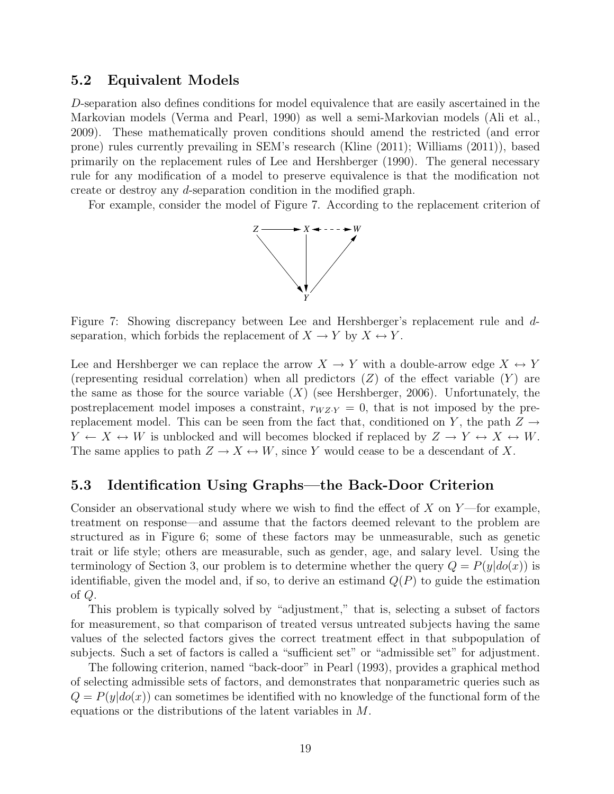### 5.2 Equivalent Models

D-separation also defines conditions for model equivalence that are easily ascertained in the Markovian models (Verma and Pearl, 1990) as well a semi-Markovian models (Ali et al., 2009). These mathematically proven conditions should amend the restricted (and error prone) rules currently prevailing in SEM's research (Kline (2011); Williams (2011)), based primarily on the replacement rules of Lee and Hershberger (1990). The general necessary rule for any modification of a model to preserve equivalence is that the modification not create or destroy any d-separation condition in the modified graph.

For example, consider the model of Figure 7. According to the replacement criterion of



Figure 7: Showing discrepancy between Lee and Hershberger's replacement rule and dseparation, which forbids the replacement of  $X \to Y$  by  $X \leftrightarrow Y$ .

Lee and Hershberger we can replace the arrow  $X \to Y$  with a double-arrow edge  $X \leftrightarrow Y$ (representing residual correlation) when all predictors  $(Z)$  of the effect variable  $(Y)$  are the same as those for the source variable  $(X)$  (see Hershberger, 2006). Unfortunately, the postreplacement model imposes a constraint,  $r_{WZ\cdot Y} = 0$ , that is not imposed by the prereplacement model. This can be seen from the fact that, conditioned on Y, the path  $Z \rightarrow$  $Y \leftarrow X \leftrightarrow W$  is unblocked and will becomes blocked if replaced by  $Z \to Y \leftrightarrow X \leftrightarrow W$ . The same applies to path  $Z \to X \leftrightarrow W$ , since Y would cease to be a descendant of X.

### 5.3 Identification Using Graphs—the Back-Door Criterion

Consider an observational study where we wish to find the effect of  $X$  on  $Y$ —for example, treatment on response—and assume that the factors deemed relevant to the problem are structured as in Figure 6; some of these factors may be unmeasurable, such as genetic trait or life style; others are measurable, such as gender, age, and salary level. Using the terminology of Section 3, our problem is to determine whether the query  $Q = P(y|do(x))$  is identifiable, given the model and, if so, to derive an estimand  $Q(P)$  to guide the estimation of Q.

This problem is typically solved by "adjustment," that is, selecting a subset of factors for measurement, so that comparison of treated versus untreated subjects having the same values of the selected factors gives the correct treatment effect in that subpopulation of subjects. Such a set of factors is called a "sufficient set" or "admissible set" for adjustment.

The following criterion, named "back-door" in Pearl (1993), provides a graphical method of selecting admissible sets of factors, and demonstrates that nonparametric queries such as  $Q = P(y|do(x))$  can sometimes be identified with no knowledge of the functional form of the equations or the distributions of the latent variables in M.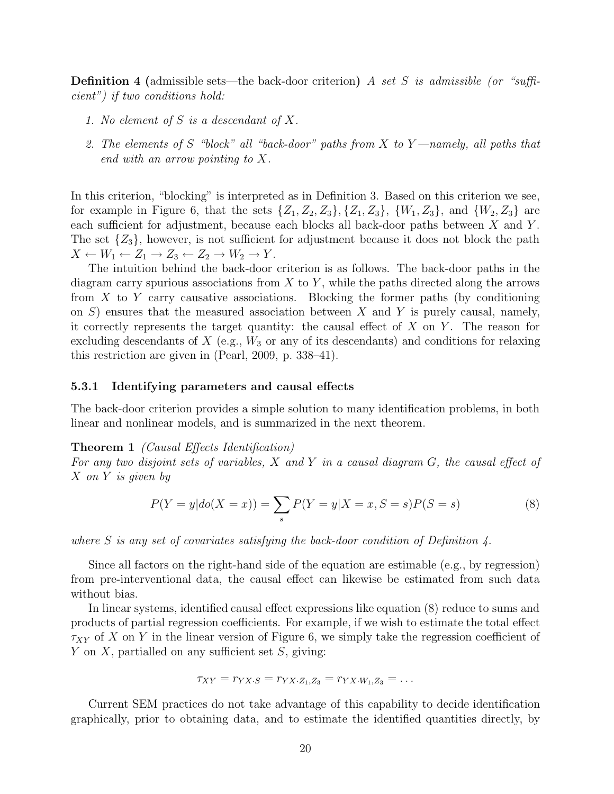**Definition 4** (admissible sets—the back-door criterion) A set S is admissible (or "sufficient") if two conditions hold:

- 1. No element of  $S$  is a descendant of  $X$ .
- 2. The elements of S "block" all "back-door" paths from X to  $Y$ —namely, all paths that end with an arrow pointing to X.

In this criterion, "blocking" is interpreted as in Definition 3. Based on this criterion we see, for example in Figure 6, that the sets  $\{Z_1, Z_2, Z_3\}, \{Z_1, Z_3\}, \{W_1, Z_3\}$ , and  $\{W_2, Z_3\}$  are each sufficient for adjustment, because each blocks all back-door paths between  $X$  and  $Y$ . The set  $\{Z_3\}$ , however, is not sufficient for adjustment because it does not block the path  $X \leftarrow W_1 \leftarrow Z_1 \rightarrow Z_3 \leftarrow Z_2 \rightarrow W_2 \rightarrow Y.$ 

The intuition behind the back-door criterion is as follows. The back-door paths in the diagram carry spurious associations from  $X$  to  $Y$ , while the paths directed along the arrows from  $X$  to  $Y$  carry causative associations. Blocking the former paths (by conditioning on  $S$ ) ensures that the measured association between X and Y is purely causal, namely, it correctly represents the target quantity: the causal effect of  $X$  on  $Y$ . The reason for excluding descendants of  $X$  (e.g.,  $W_3$  or any of its descendants) and conditions for relaxing this restriction are given in (Pearl, 2009, p. 338–41).

#### 5.3.1 Identifying parameters and causal effects

The back-door criterion provides a simple solution to many identification problems, in both linear and nonlinear models, and is summarized in the next theorem.

#### Theorem 1 (Causal Effects Identification)

For any two disjoint sets of variables,  $X$  and  $Y$  in a causal diagram  $G$ , the causal effect of X on Y is given by

$$
P(Y = y | do(X = x)) = \sum_{s} P(Y = y | X = x, S = s) P(S = s)
$$
\n(8)

where S is any set of covariates satisfying the back-door condition of Definition 4.

Since all factors on the right-hand side of the equation are estimable (e.g., by regression) from pre-interventional data, the causal effect can likewise be estimated from such data without bias.

In linear systems, identified causal effect expressions like equation (8) reduce to sums and products of partial regression coefficients. For example, if we wish to estimate the total effect  $\tau_{XY}$  of X on Y in the linear version of Figure 6, we simply take the regression coefficient of Y on X, partialled on any sufficient set  $S$ , giving:

$$
\tau_{XY} = r_{YX \cdot S} = r_{YX \cdot Z_1, Z_3} = r_{YX \cdot W_1, Z_3} = \dots
$$

Current SEM practices do not take advantage of this capability to decide identification graphically, prior to obtaining data, and to estimate the identified quantities directly, by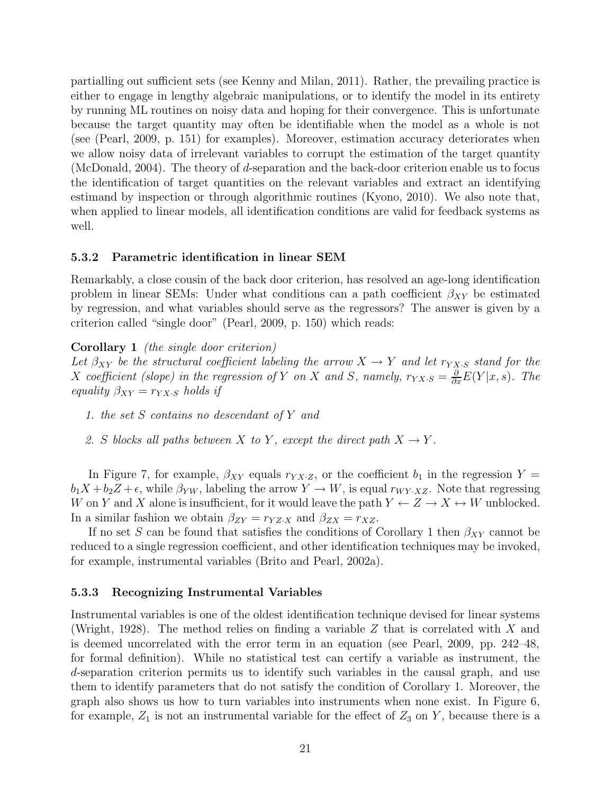partialling out sufficient sets (see Kenny and Milan, 2011). Rather, the prevailing practice is either to engage in lengthy algebraic manipulations, or to identify the model in its entirety by running ML routines on noisy data and hoping for their convergence. This is unfortunate because the target quantity may often be identifiable when the model as a whole is not (see (Pearl, 2009, p. 151) for examples). Moreover, estimation accuracy deteriorates when we allow noisy data of irrelevant variables to corrupt the estimation of the target quantity (McDonald, 2004). The theory of d-separation and the back-door criterion enable us to focus the identification of target quantities on the relevant variables and extract an identifying estimand by inspection or through algorithmic routines (Kyono, 2010). We also note that, when applied to linear models, all identification conditions are valid for feedback systems as well.

#### 5.3.2 Parametric identification in linear SEM

Remarkably, a close cousin of the back door criterion, has resolved an age-long identification problem in linear SEMs: Under what conditions can a path coefficient  $\beta_{XY}$  be estimated by regression, and what variables should serve as the regressors? The answer is given by a criterion called "single door" (Pearl, 2009, p. 150) which reads:

Corollary 1 (the single door criterion)

Let  $\beta_{XY}$  be the structural coefficient labeling the arrow  $X \to Y$  and let  $r_{YX \cdot S}$  stand for the X coefficient (slope) in the regression of Y on X and S, namely,  $r_{YX \cdot S} = \frac{\partial}{\partial x} E(Y|x, s)$ . The equality  $\beta_{XY} = r_{YX \cdot S}$  holds if

- 1. the set S contains no descendant of Y and
- 2. S blocks all paths between X to Y, except the direct path  $X \to Y$ .

In Figure 7, for example,  $\beta_{XY}$  equals  $r_{YXZ}$ , or the coefficient  $b_1$  in the regression  $Y =$  $b_1X + b_2Z + \epsilon$ , while  $\beta_{YW}$ , labeling the arrow  $Y \to W$ , is equal  $r_{WY \cdot XZ}$ . Note that regressing W on Y and X alone is insufficient, for it would leave the path  $Y \leftarrow Z \rightarrow X \leftrightarrow W$  unblocked. In a similar fashion we obtain  $\beta_{ZY} = r_{YZ\cdot X}$  and  $\beta_{ZX} = r_{XZ}$ .

If no set S can be found that satisfies the conditions of Corollary 1 then  $\beta_{XY}$  cannot be reduced to a single regression coefficient, and other identification techniques may be invoked, for example, instrumental variables (Brito and Pearl, 2002a).

#### 5.3.3 Recognizing Instrumental Variables

Instrumental variables is one of the oldest identification technique devised for linear systems (Wright, 1928). The method relies on finding a variable Z that is correlated with X and is deemed uncorrelated with the error term in an equation (see Pearl, 2009, pp. 242–48, for formal definition). While no statistical test can certify a variable as instrument, the d-separation criterion permits us to identify such variables in the causal graph, and use them to identify parameters that do not satisfy the condition of Corollary 1. Moreover, the graph also shows us how to turn variables into instruments when none exist. In Figure 6, for example,  $Z_1$  is not an instrumental variable for the effect of  $Z_3$  on Y, because there is a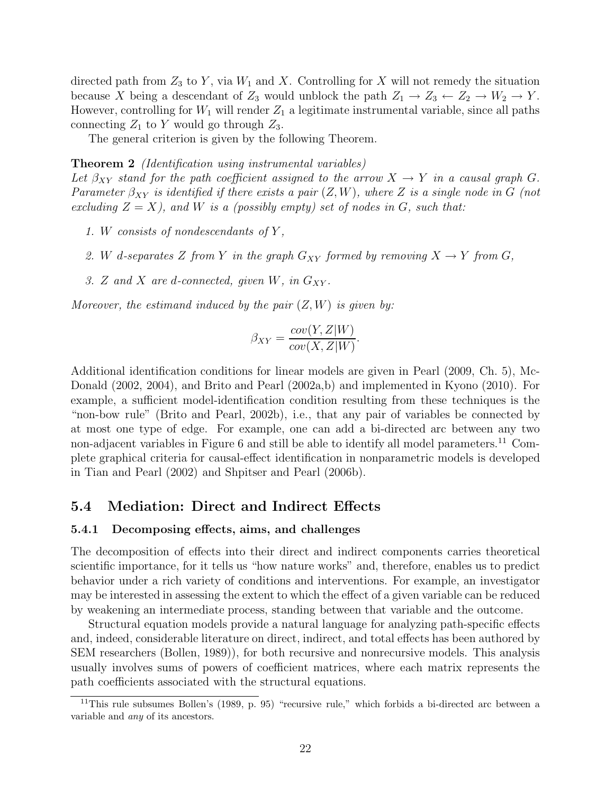directed path from  $Z_3$  to Y, via  $W_1$  and X. Controlling for X will not remedy the situation because X being a descendant of  $Z_3$  would unblock the path  $Z_1 \rightarrow Z_3 \leftarrow Z_2 \rightarrow W_2 \rightarrow Y$ . However, controlling for  $W_1$  will render  $Z_1$  a legitimate instrumental variable, since all paths connecting  $Z_1$  to Y would go through  $Z_3$ .

The general criterion is given by the following Theorem.

**Theorem 2** *(Identification using instrumental variables)* 

Let  $\beta_{XY}$  stand for the path coefficient assigned to the arrow  $X \to Y$  in a causal graph G. Parameter  $\beta_{XY}$  is identified if there exists a pair  $(Z, W)$ , where Z is a single node in G (not excluding  $Z = X$ ), and W is a (possibly empty) set of nodes in G, such that:

- 1. W consists of nondescendants of  $Y$ ,
- 2. W d-separates Z from Y in the graph  $G_{XY}$  formed by removing  $X \to Y$  from G,
- 3. Z and X are d-connected, given W, in  $G_{XY}$ .

Moreover, the estimand induced by the pair  $(Z, W)$  is given by:

$$
\beta_{XY} = \frac{cov(Y, Z|W)}{cov(X, Z|W)}.
$$

Additional identification conditions for linear models are given in Pearl (2009, Ch. 5), Mc-Donald (2002, 2004), and Brito and Pearl (2002a,b) and implemented in Kyono (2010). For example, a sufficient model-identification condition resulting from these techniques is the "non-bow rule" (Brito and Pearl, 2002b), i.e., that any pair of variables be connected by at most one type of edge. For example, one can add a bi-directed arc between any two non-adjacent variables in Figure 6 and still be able to identify all model parameters.<sup>11</sup> Complete graphical criteria for causal-effect identification in nonparametric models is developed in Tian and Pearl (2002) and Shpitser and Pearl (2006b).

### 5.4 Mediation: Direct and Indirect Effects

#### 5.4.1 Decomposing effects, aims, and challenges

The decomposition of effects into their direct and indirect components carries theoretical scientific importance, for it tells us "how nature works" and, therefore, enables us to predict behavior under a rich variety of conditions and interventions. For example, an investigator may be interested in assessing the extent to which the effect of a given variable can be reduced by weakening an intermediate process, standing between that variable and the outcome.

Structural equation models provide a natural language for analyzing path-specific effects and, indeed, considerable literature on direct, indirect, and total effects has been authored by SEM researchers (Bollen, 1989)), for both recursive and nonrecursive models. This analysis usually involves sums of powers of coefficient matrices, where each matrix represents the path coefficients associated with the structural equations.

 $11$ This rule subsumes Bollen's (1989, p. 95) "recursive rule," which forbids a bi-directed arc between a variable and any of its ancestors.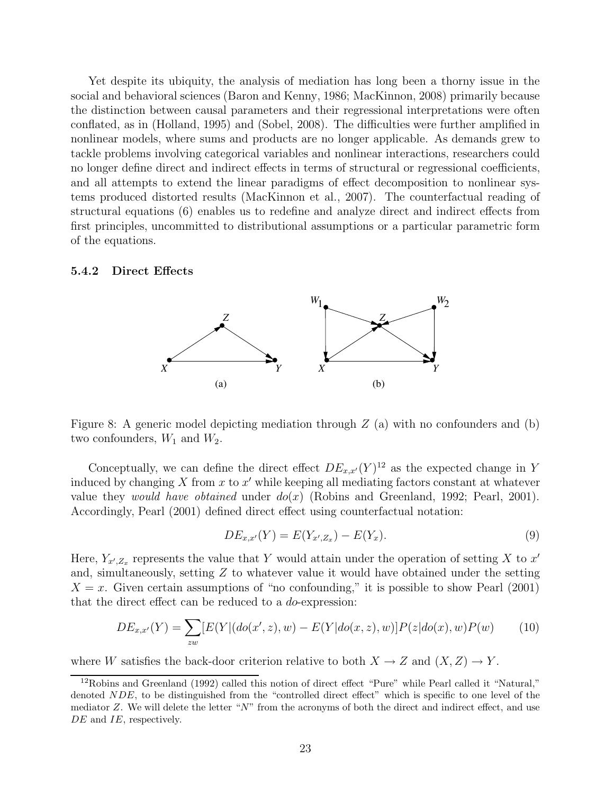Yet despite its ubiquity, the analysis of mediation has long been a thorny issue in the social and behavioral sciences (Baron and Kenny, 1986; MacKinnon, 2008) primarily because the distinction between causal parameters and their regressional interpretations were often conflated, as in (Holland, 1995) and (Sobel, 2008). The difficulties were further amplified in nonlinear models, where sums and products are no longer applicable. As demands grew to tackle problems involving categorical variables and nonlinear interactions, researchers could no longer define direct and indirect effects in terms of structural or regressional coefficients, and all attempts to extend the linear paradigms of effect decomposition to nonlinear systems produced distorted results (MacKinnon et al., 2007). The counterfactual reading of structural equations (6) enables us to redefine and analyze direct and indirect effects from first principles, uncommitted to distributional assumptions or a particular parametric form of the equations.

#### 5.4.2 Direct Effects



Figure 8: A generic model depicting mediation through  $Z$  (a) with no confounders and (b) two confounders,  $W_1$  and  $W_2$ .

Conceptually, we can define the direct effect  $DE_{x,x'}(Y)^{12}$  as the expected change in Y induced by changing X from x to  $x'$  while keeping all mediating factors constant at whatever value they *would have obtained* under  $d\rho(x)$  (Robins and Greenland, 1992; Pearl, 2001). Accordingly, Pearl (2001) defined direct effect using counterfactual notation:

$$
DE_{x,x'}(Y) = E(Y_{x',Z_x}) - E(Y_x). \tag{9}
$$

Here,  $Y_{x',Z_x}$  represents the value that Y would attain under the operation of setting X to  $x'$ and, simultaneously, setting Z to whatever value it would have obtained under the setting  $X = x$ . Given certain assumptions of "no confounding," it is possible to show Pearl (2001) that the direct effect can be reduced to a do-expression:

$$
DE_{x,x'}(Y) = \sum_{zw} [E(Y| (do(x', z), w) - E(Y| do(x, z), w)] P(z| do(x), w) P(w) \tag{10}
$$

where W satisfies the back-door criterion relative to both  $X \to Z$  and  $(X, Z) \to Y$ .

<sup>&</sup>lt;sup>12</sup>Robins and Greenland (1992) called this notion of direct effect "Pure" while Pearl called it "Natural," denoted NDE, to be distinguished from the "controlled direct effect" which is specific to one level of the mediator  $Z$ . We will delete the letter " $N$ " from the acronyms of both the direct and indirect effect, and use DE and IE, respectively.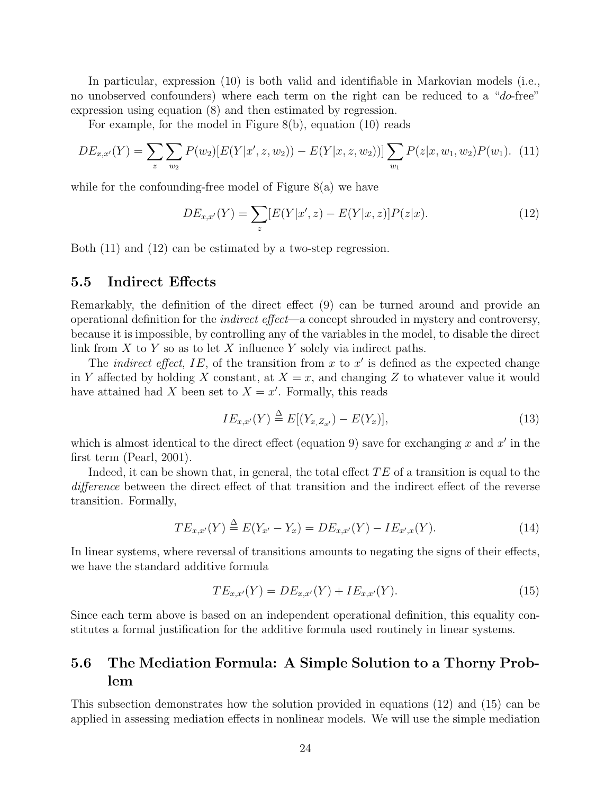In particular, expression (10) is both valid and identifiable in Markovian models (i.e., no unobserved confounders) where each term on the right can be reduced to a "do-free" expression using equation (8) and then estimated by regression.

For example, for the model in Figure 8(b), equation (10) reads

$$
DE_{x,x'}(Y) = \sum_{z} \sum_{w_2} P(w_2)[E(Y|x', z, w_2)) - E(Y|x, z, w_2)] \sum_{w_1} P(z|x, w_1, w_2)P(w_1). \tag{11}
$$

while for the confounding-free model of Figure 8(a) we have

$$
DE_{x,x'}(Y) = \sum_{z} [E(Y|x', z) - E(Y|x, z)] P(z|x). \tag{12}
$$

Both (11) and (12) can be estimated by a two-step regression.

# 5.5 Indirect Effects

Remarkably, the definition of the direct effect (9) can be turned around and provide an operational definition for the indirect effect—a concept shrouded in mystery and controversy, because it is impossible, by controlling any of the variables in the model, to disable the direct link from  $X$  to  $Y$  so as to let  $X$  influence  $Y$  solely via indirect paths.

The *indirect effect*,  $IE$ , of the transition from x to x' is defined as the expected change in Y affected by holding X constant, at  $X = x$ , and changing Z to whatever value it would have attained had X been set to  $X = x'$ . Formally, this reads

$$
IE_{x,x'}(Y) \stackrel{\Delta}{=} E[(Y_{x,Z_{x'}}) - E(Y_x)],\tag{13}
$$

which is almost identical to the direct effect (equation 9) save for exchanging x and  $x'$  in the first term (Pearl, 2001).

Indeed, it can be shown that, in general, the total effect  $TE$  of a transition is equal to the difference between the direct effect of that transition and the indirect effect of the reverse transition. Formally,

$$
TE_{x,x'}(Y) \stackrel{\Delta}{=} E(Y_{x'} - Y_x) = DE_{x,x'}(Y) - IE_{x',x}(Y). \tag{14}
$$

In linear systems, where reversal of transitions amounts to negating the signs of their effects, we have the standard additive formula

$$
TE_{x,x'}(Y) = DE_{x,x'}(Y) + IE_{x,x'}(Y).
$$
\n(15)

Since each term above is based on an independent operational definition, this equality constitutes a formal justification for the additive formula used routinely in linear systems.

# 5.6 The Mediation Formula: A Simple Solution to a Thorny Problem

This subsection demonstrates how the solution provided in equations (12) and (15) can be applied in assessing mediation effects in nonlinear models. We will use the simple mediation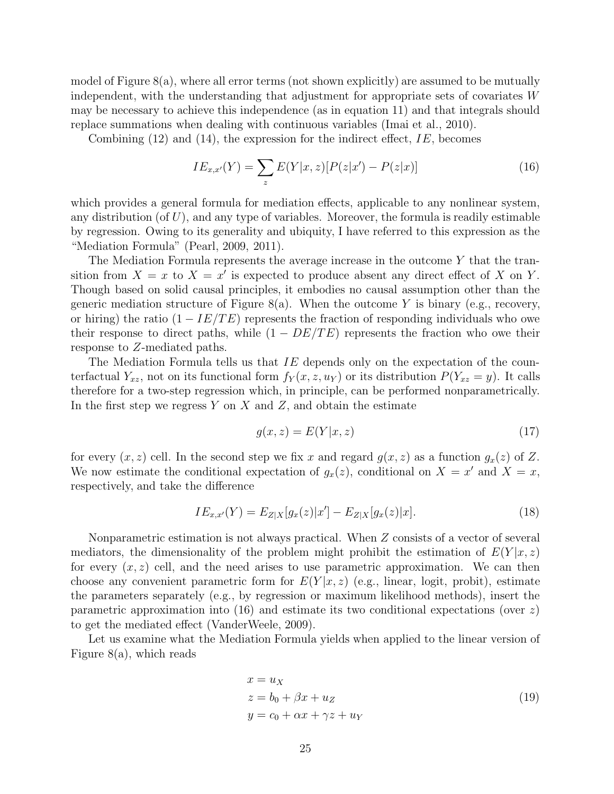model of Figure  $S(a)$ , where all error terms (not shown explicitly) are assumed to be mutually independent, with the understanding that adjustment for appropriate sets of covariates W may be necessary to achieve this independence (as in equation 11) and that integrals should replace summations when dealing with continuous variables (Imai et al., 2010).

Combining  $(12)$  and  $(14)$ , the expression for the indirect effect, IE, becomes

$$
IE_{x,x'}(Y) = \sum_{z} E(Y|x,z)[P(z|x') - P(z|x)] \tag{16}
$$

which provides a general formula for mediation effects, applicable to any nonlinear system, any distribution (of  $U$ ), and any type of variables. Moreover, the formula is readily estimable by regression. Owing to its generality and ubiquity, I have referred to this expression as the "Mediation Formula" (Pearl, 2009, 2011).

The Mediation Formula represents the average increase in the outcome Y that the transition from  $X = x$  to  $X = x'$  is expected to produce absent any direct effect of X on Y. Though based on solid causal principles, it embodies no causal assumption other than the generic mediation structure of Figure 8(a). When the outcome Y is binary (e.g., recovery, or hiring) the ratio  $(1 - IE/TE)$  represents the fraction of responding individuals who owe their response to direct paths, while  $(1 - DE/TE)$  represents the fraction who owe their response to Z-mediated paths.

The Mediation Formula tells us that IE depends only on the expectation of the counterfactual  $Y_{xz}$ , not on its functional form  $f_Y(x, z, u_Y)$  or its distribution  $P(Y_{xz} = y)$ . It calls therefore for a two-step regression which, in principle, can be performed nonparametrically. In the first step we regress  $Y$  on  $X$  and  $Z$ , and obtain the estimate

$$
g(x, z) = E(Y|x, z) \tag{17}
$$

for every  $(x, z)$  cell. In the second step we fix x and regard  $g(x, z)$  as a function  $g_x(z)$  of Z. We now estimate the conditional expectation of  $g_x(z)$ , conditional on  $X = x'$  and  $X = x$ , respectively, and take the difference

$$
IE_{x,x'}(Y) = E_{Z|X}[g_x(z)|x'] - E_{Z|X}[g_x(z)|x].
$$
\n(18)

Nonparametric estimation is not always practical. When Z consists of a vector of several mediators, the dimensionality of the problem might prohibit the estimation of  $E(Y|x, z)$ for every  $(x, z)$  cell, and the need arises to use parametric approximation. We can then choose any convenient parametric form for  $E(Y|x, z)$  (e.g., linear, logit, probit), estimate the parameters separately (e.g., by regression or maximum likelihood methods), insert the parametric approximation into  $(16)$  and estimate its two conditional expectations (over z) to get the mediated effect (VanderWeele, 2009).

Let us examine what the Mediation Formula yields when applied to the linear version of Figure 8(a), which reads

$$
x = u_X
$$
  
\n
$$
z = b_0 + \beta x + u_Z
$$
  
\n
$$
y = c_0 + \alpha x + \gamma z + u_Y
$$
\n(19)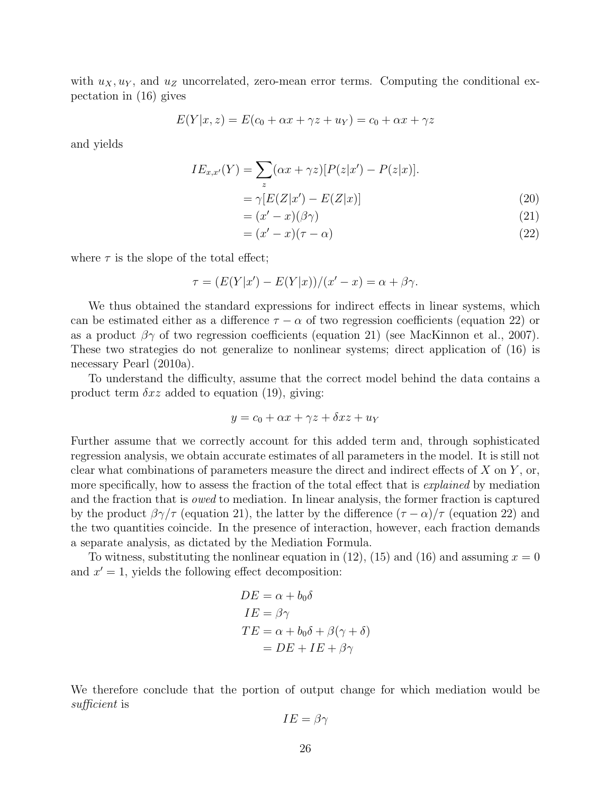with  $u_x, u_y$ , and  $u_z$  uncorrelated, zero-mean error terms. Computing the conditional expectation in (16) gives

$$
E(Y|x, z) = E(c_0 + \alpha x + \gamma z + u_Y) = c_0 + \alpha x + \gamma z
$$

and yields

$$
IE_{x,x'}(Y) = \sum_{z} (\alpha x + \gamma z)[P(z|x') - P(z|x)].
$$
  
=  $\gamma[E(Z|x') - E(Z|x)]$  (20)

$$
= (x'-x)(\beta\gamma) \tag{21}
$$

$$
= (x'-x)(\tau - \alpha) \tag{22}
$$

where  $\tau$  is the slope of the total effect;

$$
\tau = (E(Y|x') - E(Y|x))/(x' - x) = \alpha + \beta\gamma.
$$

We thus obtained the standard expressions for indirect effects in linear systems, which can be estimated either as a difference  $\tau - \alpha$  of two regression coefficients (equation 22) or as a product  $\beta\gamma$  of two regression coefficients (equation 21) (see MacKinnon et al., 2007). These two strategies do not generalize to nonlinear systems; direct application of (16) is necessary Pearl (2010a).

To understand the difficulty, assume that the correct model behind the data contains a product term  $\delta xz$  added to equation (19), giving:

$$
y = c_0 + \alpha x + \gamma z + \delta x z + u_Y
$$

Further assume that we correctly account for this added term and, through sophisticated regression analysis, we obtain accurate estimates of all parameters in the model. It is still not clear what combinations of parameters measure the direct and indirect effects of  $X$  on  $Y$ , or, more specifically, how to assess the fraction of the total effect that is *explained* by mediation and the fraction that is *owed* to mediation. In linear analysis, the former fraction is captured by the product  $\beta\gamma/\tau$  (equation 21), the latter by the difference  $(\tau-\alpha)/\tau$  (equation 22) and the two quantities coincide. In the presence of interaction, however, each fraction demands a separate analysis, as dictated by the Mediation Formula.

To witness, substituting the nonlinear equation in (12), (15) and (16) and assuming  $x = 0$ and  $x' = 1$ , yields the following effect decomposition:

$$
DE = \alpha + b_0 \delta
$$
  
\n
$$
IE = \beta \gamma
$$
  
\n
$$
TE = \alpha + b_0 \delta + \beta(\gamma + \delta)
$$
  
\n
$$
= DE + IE + \beta \gamma
$$

We therefore conclude that the portion of output change for which mediation would be sufficient is

$$
IE = \beta \gamma
$$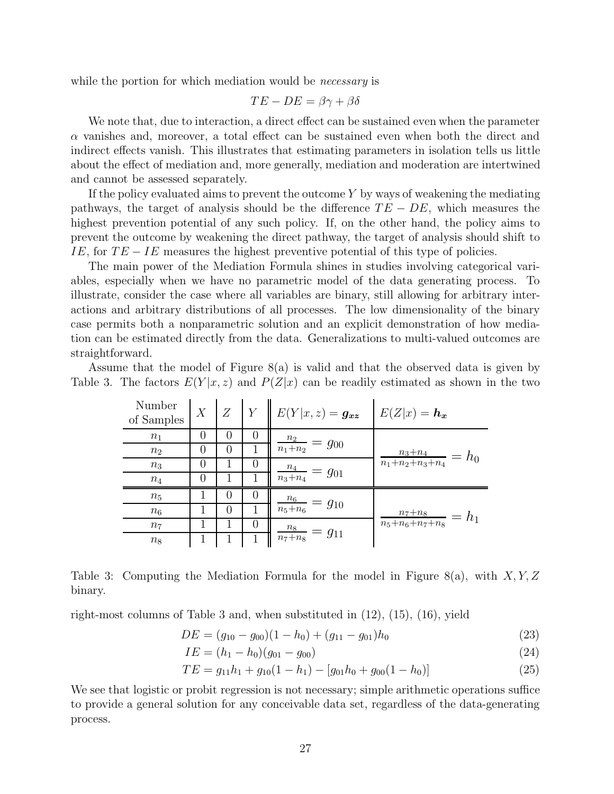while the portion for which mediation would be *necessary* is

$$
TE - DE = \beta \gamma + \beta \delta
$$

We note that, due to interaction, a direct effect can be sustained even when the parameter  $\alpha$  vanishes and, moreover, a total effect can be sustained even when both the direct and indirect effects vanish. This illustrates that estimating parameters in isolation tells us little about the effect of mediation and, more generally, mediation and moderation are intertwined and cannot be assessed separately.

If the policy evaluated aims to prevent the outcome  $Y$  by ways of weakening the mediating pathways, the target of analysis should be the difference  $TE - DE$ , which measures the highest prevention potential of any such policy. If, on the other hand, the policy aims to prevent the outcome by weakening the direct pathway, the target of analysis should shift to IE, for  $TE - IE$  measures the highest preventive potential of this type of policies.

The main power of the Mediation Formula shines in studies involving categorical variables, especially when we have no parametric model of the data generating process. To illustrate, consider the case where all variables are binary, still allowing for arbitrary interactions and arbitrary distributions of all processes. The low dimensionality of the binary case permits both a nonparametric solution and an explicit demonstration of how mediation can be estimated directly from the data. Generalizations to multi-valued outcomes are straightforward.

Assume that the model of Figure 8(a) is valid and that the observed data is given by Table 3. The factors  $E(Y|x, z)$  and  $P(Z|x)$  can be readily estimated as shown in the two

| Number<br>of Samples |                  |          | $X \mid Z \mid Y \mid E(Y x, z) = g_{xz} \mid E(Z x) = h_x$ |                                       |  |  |  |
|----------------------|------------------|----------|-------------------------------------------------------------|---------------------------------------|--|--|--|
| n <sub>1</sub>       | 0                | 0        |                                                             |                                       |  |  |  |
| n <sub>2</sub>       | $\left( \right)$ |          | $\frac{n_2}{n_1+n_2}=g_{00}$                                |                                       |  |  |  |
| $n_3$                |                  | O        |                                                             | $\frac{n_3+n_4}{n_1+n_2+n_3+n_4}=h_0$ |  |  |  |
| $n_4$                |                  |          | $\frac{n_4}{n_3+n_4}=g_{01}$                                |                                       |  |  |  |
| $n_{5}$              | 0                | 0        |                                                             |                                       |  |  |  |
| $n_{6}$              | 0                |          | $\frac{n_6}{n_5+n_6}=g_{10}$                                |                                       |  |  |  |
| n <sub>7</sub>       | 1                | $\theta$ |                                                             | $\frac{n_7+n_8}{n_5+n_6+n_7+n_8}=h_1$ |  |  |  |
| $n_8$                |                  |          | $\frac{n_8}{n_7+n_8}=g_{11}$                                |                                       |  |  |  |

Table 3: Computing the Mediation Formula for the model in Figure 8(a), with  $X, Y, Z$ binary.

right-most columns of Table 3 and, when substituted in (12), (15), (16), yield

$$
DE = (g_{10} - g_{00})(1 - h_0) + (g_{11} - g_{01})h_0
$$
\n(23)

$$
IE = (h_1 - h_0)(g_{01} - g_{00})
$$
\n(24)

$$
TE = g_{11}h_1 + g_{10}(1 - h_1) - [g_{01}h_0 + g_{00}(1 - h_0)]
$$
\n(25)

We see that logistic or probit regression is not necessary; simple arithmetic operations suffice to provide a general solution for any conceivable data set, regardless of the data-generating process.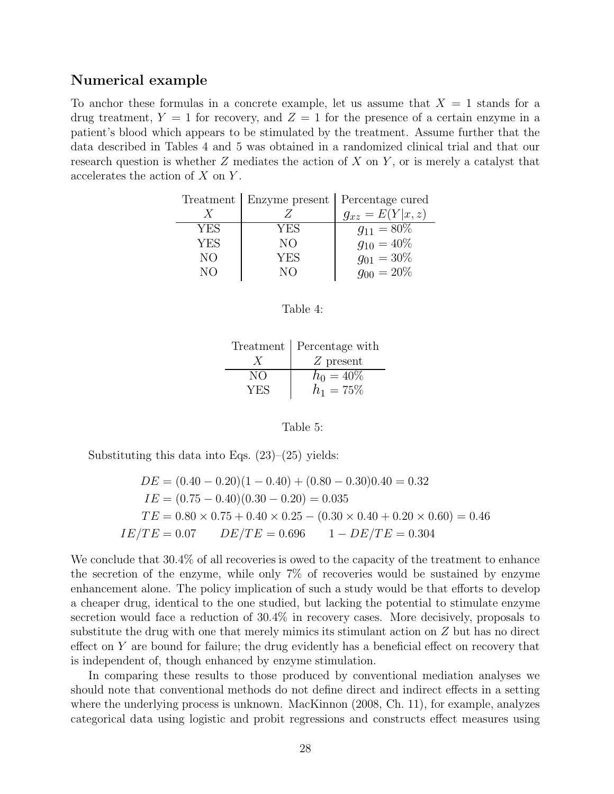### Numerical example

To anchor these formulas in a concrete example, let us assume that  $X = 1$  stands for a drug treatment,  $Y = 1$  for recovery, and  $Z = 1$  for the presence of a certain enzyme in a patient's blood which appears to be stimulated by the treatment. Assume further that the data described in Tables 4 and 5 was obtained in a randomized clinical trial and that our research question is whether  $Z$  mediates the action of  $X$  on  $Y$ , or is merely a catalyst that accelerates the action of  $X$  on  $Y$ .

| Treatment |      | Enzyme present   Percentage cured |
|-----------|------|-----------------------------------|
|           |      | $g_{xz} = E(Y x, z)$              |
| YES       | YES. | $g_{11} = 80\%$                   |
| YES       | NO   | $g_{10} = 40\%$                   |
| NO.       | YES  | $g_{01} = 30\%$                   |
| NO        | N()  | $q_{00} = 20\%$                   |

#### Table 4:

Treatment | Percentage with

|      | $Z$ present  |
|------|--------------|
| NΩ   | $h_0 = 40\%$ |
| Y ES | $h_1 = 75\%$ |

#### Table 5:

Substituting this data into Eqs.  $(23)$ – $(25)$  yields:

 $DE = (0.40 - 0.20)(1 - 0.40) + (0.80 - 0.30)0.40 = 0.32$  $IE = (0.75 - 0.40)(0.30 - 0.20) = 0.035$  $TE = 0.80 \times 0.75 + 0.40 \times 0.25 - (0.30 \times 0.40 + 0.20 \times 0.60) = 0.46$  $IE/TE = 0.07$   $DE/TE = 0.696$   $1 - DE/TE = 0.304$ 

We conclude that  $30.4\%$  of all recoveries is owed to the capacity of the treatment to enhance the secretion of the enzyme, while only 7% of recoveries would be sustained by enzyme enhancement alone. The policy implication of such a study would be that efforts to develop a cheaper drug, identical to the one studied, but lacking the potential to stimulate enzyme secretion would face a reduction of 30.4% in recovery cases. More decisively, proposals to substitute the drug with one that merely mimics its stimulant action on Z but has no direct effect on Y are bound for failure; the drug evidently has a beneficial effect on recovery that is independent of, though enhanced by enzyme stimulation.

In comparing these results to those produced by conventional mediation analyses we should note that conventional methods do not define direct and indirect effects in a setting where the underlying process is unknown. MacKinnon (2008, Ch. 11), for example, analyzes categorical data using logistic and probit regressions and constructs effect measures using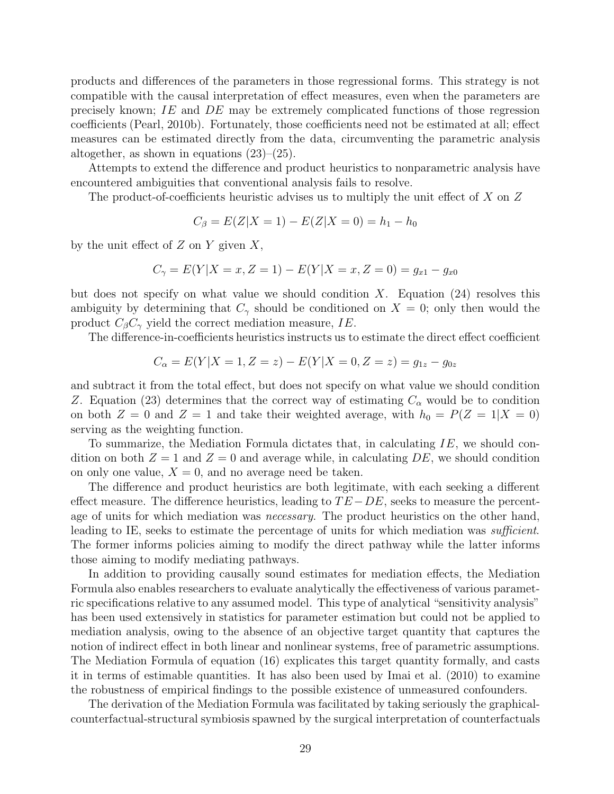products and differences of the parameters in those regressional forms. This strategy is not compatible with the causal interpretation of effect measures, even when the parameters are precisely known; IE and DE may be extremely complicated functions of those regression coefficients (Pearl, 2010b). Fortunately, those coefficients need not be estimated at all; effect measures can be estimated directly from the data, circumventing the parametric analysis altogether, as shown in equations  $(23)$ – $(25)$ .

Attempts to extend the difference and product heuristics to nonparametric analysis have encountered ambiguities that conventional analysis fails to resolve.

The product-of-coefficients heuristic advises us to multiply the unit effect of X on Z

$$
C_{\beta} = E(Z|X=1) - E(Z|X=0) = h_1 - h_0
$$

by the unit effect of  $Z$  on  $Y$  given  $X$ ,

$$
C_{\gamma} = E(Y|X = x, Z = 1) - E(Y|X = x, Z = 0) = g_{x1} - g_{x0}
$$

but does not specify on what value we should condition  $X$ . Equation  $(24)$  resolves this ambiguity by determining that  $C_{\gamma}$  should be conditioned on  $X = 0$ ; only then would the product  $C_{\beta}C_{\gamma}$  yield the correct mediation measure, IE.

The difference-in-coefficients heuristics instructs us to estimate the direct effect coefficient

$$
C_{\alpha} = E(Y|X=1, Z=z) - E(Y|X=0, Z=z) = g_{1z} - g_{0z}
$$

and subtract it from the total effect, but does not specify on what value we should condition Z. Equation (23) determines that the correct way of estimating  $C_{\alpha}$  would be to condition on both  $Z = 0$  and  $Z = 1$  and take their weighted average, with  $h_0 = P(Z = 1 | X = 0)$ serving as the weighting function.

To summarize, the Mediation Formula dictates that, in calculating  $IE$ , we should condition on both  $Z = 1$  and  $Z = 0$  and average while, in calculating DE, we should condition on only one value,  $X = 0$ , and no average need be taken.

The difference and product heuristics are both legitimate, with each seeking a different effect measure. The difference heuristics, leading to  $TE-DE$ , seeks to measure the percentage of units for which mediation was *necessary*. The product heuristics on the other hand, leading to IE, seeks to estimate the percentage of units for which mediation was sufficient. The former informs policies aiming to modify the direct pathway while the latter informs those aiming to modify mediating pathways.

In addition to providing causally sound estimates for mediation effects, the Mediation Formula also enables researchers to evaluate analytically the effectiveness of various parametric specifications relative to any assumed model. This type of analytical "sensitivity analysis" has been used extensively in statistics for parameter estimation but could not be applied to mediation analysis, owing to the absence of an objective target quantity that captures the notion of indirect effect in both linear and nonlinear systems, free of parametric assumptions. The Mediation Formula of equation (16) explicates this target quantity formally, and casts it in terms of estimable quantities. It has also been used by Imai et al. (2010) to examine the robustness of empirical findings to the possible existence of unmeasured confounders.

The derivation of the Mediation Formula was facilitated by taking seriously the graphicalcounterfactual-structural symbiosis spawned by the surgical interpretation of counterfactuals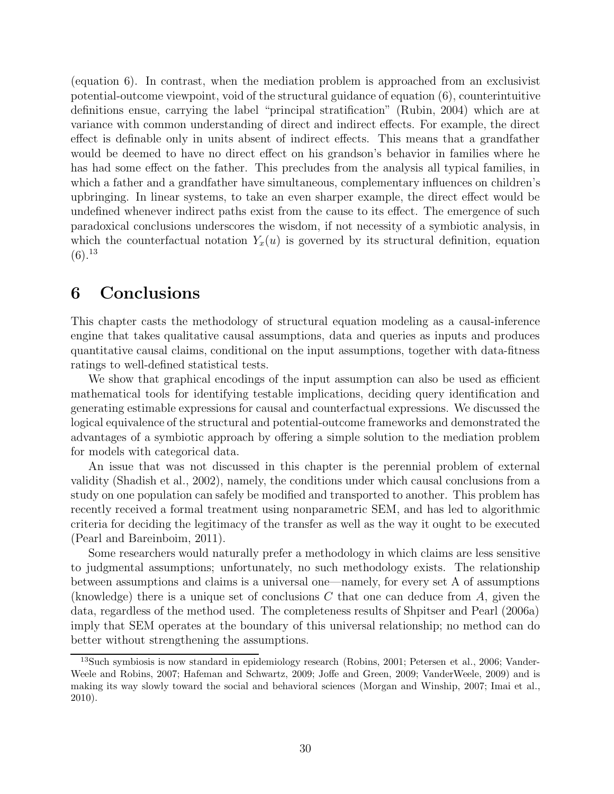(equation 6). In contrast, when the mediation problem is approached from an exclusivist potential-outcome viewpoint, void of the structural guidance of equation (6), counterintuitive definitions ensue, carrying the label "principal stratification" (Rubin, 2004) which are at variance with common understanding of direct and indirect effects. For example, the direct effect is definable only in units absent of indirect effects. This means that a grandfather would be deemed to have no direct effect on his grandson's behavior in families where he has had some effect on the father. This precludes from the analysis all typical families, in which a father and a grandfather have simultaneous, complementary influences on children's upbringing. In linear systems, to take an even sharper example, the direct effect would be undefined whenever indirect paths exist from the cause to its effect. The emergence of such paradoxical conclusions underscores the wisdom, if not necessity of a symbiotic analysis, in which the counterfactual notation  $Y_x(u)$  is governed by its structural definition, equation  $(6).^{13}$ 

# 6 Conclusions

This chapter casts the methodology of structural equation modeling as a causal-inference engine that takes qualitative causal assumptions, data and queries as inputs and produces quantitative causal claims, conditional on the input assumptions, together with data-fitness ratings to well-defined statistical tests.

We show that graphical encodings of the input assumption can also be used as efficient mathematical tools for identifying testable implications, deciding query identification and generating estimable expressions for causal and counterfactual expressions. We discussed the logical equivalence of the structural and potential-outcome frameworks and demonstrated the advantages of a symbiotic approach by offering a simple solution to the mediation problem for models with categorical data.

An issue that was not discussed in this chapter is the perennial problem of external validity (Shadish et al., 2002), namely, the conditions under which causal conclusions from a study on one population can safely be modified and transported to another. This problem has recently received a formal treatment using nonparametric SEM, and has led to algorithmic criteria for deciding the legitimacy of the transfer as well as the way it ought to be executed (Pearl and Bareinboim, 2011).

Some researchers would naturally prefer a methodology in which claims are less sensitive to judgmental assumptions; unfortunately, no such methodology exists. The relationship between assumptions and claims is a universal one—namely, for every set A of assumptions (knowledge) there is a unique set of conclusions  $C$  that one can deduce from  $A$ , given the data, regardless of the method used. The completeness results of Shpitser and Pearl (2006a) imply that SEM operates at the boundary of this universal relationship; no method can do better without strengthening the assumptions.

<sup>&</sup>lt;sup>13</sup>Such symbiosis is now standard in epidemiology research (Robins, 2001; Petersen et al., 2006; Vander-Weele and Robins, 2007; Hafeman and Schwartz, 2009; Joffe and Green, 2009; VanderWeele, 2009) and is making its way slowly toward the social and behavioral sciences (Morgan and Winship, 2007; Imai et al., 2010).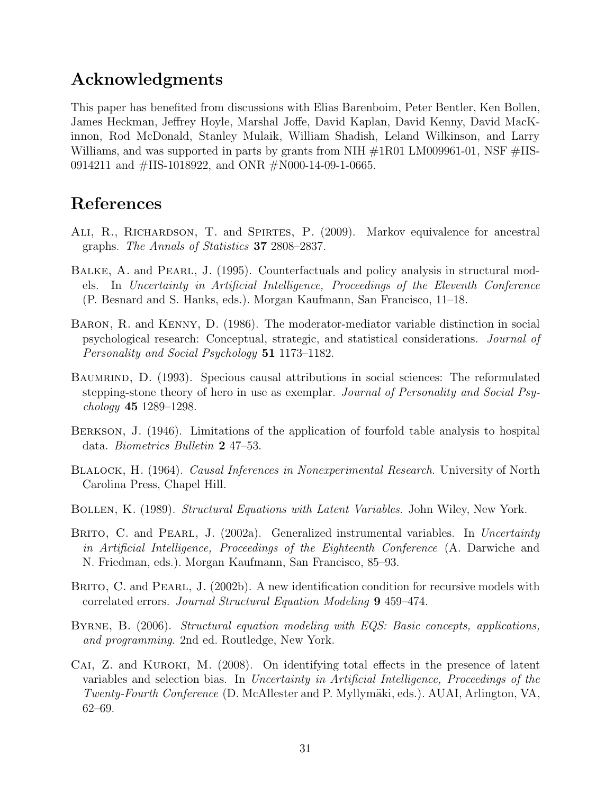# Acknowledgments

This paper has benefited from discussions with Elias Barenboim, Peter Bentler, Ken Bollen, James Heckman, Jeffrey Hoyle, Marshal Joffe, David Kaplan, David Kenny, David MacKinnon, Rod McDonald, Stanley Mulaik, William Shadish, Leland Wilkinson, and Larry Williams, and was supported in parts by grants from NIH  $\#1R01$  LM009961-01, NSF  $\#1IS$ -0914211 and #IIS-1018922, and ONR #N000-14-09-1-0665.

# References

- Ali, R., Richardson, T. and Spirtes, P. (2009). Markov equivalence for ancestral graphs. The Annals of Statistics 37 2808–2837.
- BALKE, A. and PEARL, J. (1995). Counterfactuals and policy analysis in structural models. In Uncertainty in Artificial Intelligence, Proceedings of the Eleventh Conference (P. Besnard and S. Hanks, eds.). Morgan Kaufmann, San Francisco, 11–18.
- Baron, R. and Kenny, D. (1986). The moderator-mediator variable distinction in social psychological research: Conceptual, strategic, and statistical considerations. Journal of Personality and Social Psychology 51 1173–1182.
- Baumrind, D. (1993). Specious causal attributions in social sciences: The reformulated stepping-stone theory of hero in use as exemplar. Journal of Personality and Social Psychology 45 1289–1298.
- Berkson, J. (1946). Limitations of the application of fourfold table analysis to hospital data. Biometrics Bulletin 2 47–53.
- Blalock, H. (1964). Causal Inferences in Nonexperimental Research. University of North Carolina Press, Chapel Hill.
- Bollen, K. (1989). Structural Equations with Latent Variables. John Wiley, New York.
- BRITO, C. and PEARL, J. (2002a). Generalized instrumental variables. In Uncertainty in Artificial Intelligence, Proceedings of the Eighteenth Conference (A. Darwiche and N. Friedman, eds.). Morgan Kaufmann, San Francisco, 85–93.
- BRITO, C. and PEARL, J. (2002b). A new identification condition for recursive models with correlated errors. Journal Structural Equation Modeling 9 459–474.
- BYRNE, B. (2006). Structural equation modeling with EQS: Basic concepts, applications, and programming. 2nd ed. Routledge, New York.
- Cai, Z. and Kuroki, M. (2008). On identifying total effects in the presence of latent variables and selection bias. In Uncertainty in Artificial Intelligence, Proceedings of the Twenty-Fourth Conference (D. McAllester and P. Myllymäki, eds.). AUAI, Arlington, VA, 62–69.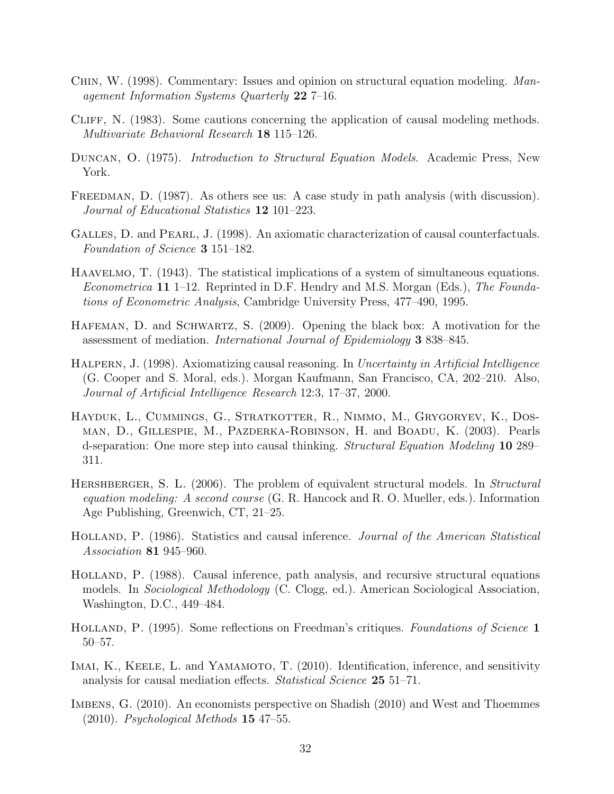- CHIN, W. (1998). Commentary: Issues and opinion on structural equation modeling. Management Information Systems Quarterly 22 7–16.
- Cliff, N. (1983). Some cautions concerning the application of causal modeling methods. Multivariate Behavioral Research 18 115–126.
- Duncan, O. (1975). Introduction to Structural Equation Models. Academic Press, New York.
- FREEDMAN, D. (1987). As others see us: A case study in path analysis (with discussion). Journal of Educational Statistics 12 101–223.
- GALLES, D. and PEARL, J. (1998). An axiomatic characterization of causal counterfactuals. Foundation of Science 3 151–182.
- HAAVELMO, T. (1943). The statistical implications of a system of simultaneous equations. *Econometrica* 11 1–12. Reprinted in D.F. Hendry and M.S. Morgan (Eds.), The Foundations of Econometric Analysis, Cambridge University Press, 477–490, 1995.
- HAFEMAN, D. and SCHWARTZ, S. (2009). Opening the black box: A motivation for the assessment of mediation. International Journal of Epidemiology 3 838–845.
- HALPERN, J. (1998). Axiomatizing causal reasoning. In Uncertainty in Artificial Intelligence (G. Cooper and S. Moral, eds.). Morgan Kaufmann, San Francisco, CA, 202–210. Also, Journal of Artificial Intelligence Research 12:3, 17–37, 2000.
- Hayduk, L., Cummings, G., Stratkotter, R., Nimmo, M., Grygoryev, K., Dosman, D., Gillespie, M., Pazderka-Robinson, H. and Boadu, K. (2003). Pearls d-separation: One more step into causal thinking. Structural Equation Modeling 10 289– 311.
- HERSHBERGER, S. L. (2006). The problem of equivalent structural models. In *Structural* equation modeling: A second course (G. R. Hancock and R. O. Mueller, eds.). Information Age Publishing, Greenwich, CT, 21–25.
- HOLLAND, P. (1986). Statistics and causal inference. *Journal of the American Statistical* Association 81 945–960.
- Holland, P. (1988). Causal inference, path analysis, and recursive structural equations models. In Sociological Methodology (C. Clogg, ed.). American Sociological Association, Washington, D.C., 449–484.
- HOLLAND, P. (1995). Some reflections on Freedman's critiques. Foundations of Science 1 50–57.
- IMAI, K., KEELE, L. and YAMAMOTO, T. (2010). Identification, inference, and sensitivity analysis for causal mediation effects. Statistical Science 25 51–71.
- IMBENS, G. (2010). An economists perspective on Shadish (2010) and West and Thoemmes (2010). Psychological Methods 15 47–55.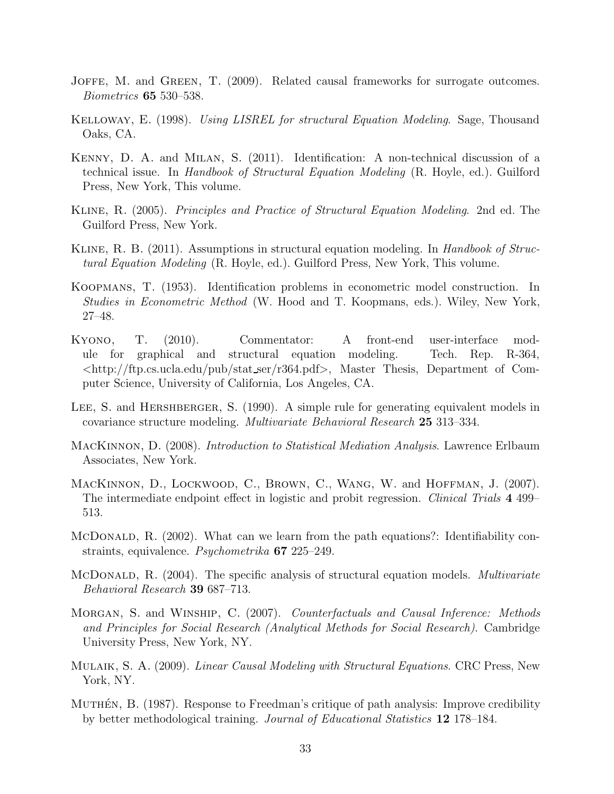- JOFFE, M. and GREEN, T. (2009). Related causal frameworks for surrogate outcomes. Biometrics 65 530–538.
- KELLOWAY, E. (1998). Using LISREL for structural Equation Modeling. Sage, Thousand Oaks, CA.
- Kenny, D. A. and Milan, S. (2011). Identification: A non-technical discussion of a technical issue. In Handbook of Structural Equation Modeling (R. Hoyle, ed.). Guilford Press, New York, This volume.
- Kline, R. (2005). Principles and Practice of Structural Equation Modeling. 2nd ed. The Guilford Press, New York.
- KLINE, R. B. (2011). Assumptions in structural equation modeling. In Handbook of Structural Equation Modeling (R. Hoyle, ed.). Guilford Press, New York, This volume.
- Koopmans, T. (1953). Identification problems in econometric model construction. In Studies in Econometric Method (W. Hood and T. Koopmans, eds.). Wiley, New York, 27–48.
- Kyono, T. (2010). Commentator: A front-end user-interface module for graphical and structural equation modeling. Tech. Rep. R-364, <http://ftp.cs.ucla.edu/pub/stat ser/r364.pdf>, Master Thesis, Department of Computer Science, University of California, Los Angeles, CA.
- LEE, S. and HERSHBERGER, S. (1990). A simple rule for generating equivalent models in covariance structure modeling. Multivariate Behavioral Research 25 313–334.
- MACKINNON, D. (2008). *Introduction to Statistical Mediation Analysis*. Lawrence Erlbaum Associates, New York.
- MacKinnon, D., Lockwood, C., Brown, C., Wang, W. and Hoffman, J. (2007). The intermediate endpoint effect in logistic and probit regression. Clinical Trials 4 499– 513.
- McDonald, R. (2002). What can we learn from the path equations?: Identifiability constraints, equivalence. Psychometrika 67 225–249.
- McDonald, R. (2004). The specific analysis of structural equation models. *Multivariate* Behavioral Research 39 687–713.
- MORGAN, S. and WINSHIP, C. (2007). *Counterfactuals and Causal Inference: Methods* and Principles for Social Research (Analytical Methods for Social Research). Cambridge University Press, New York, NY.
- MULAIK, S. A. (2009). *Linear Causal Modeling with Structural Equations*. CRC Press, New York, NY.
- MUTHÉN, B. (1987). Response to Freedman's critique of path analysis: Improve credibility by better methodological training. Journal of Educational Statistics 12 178–184.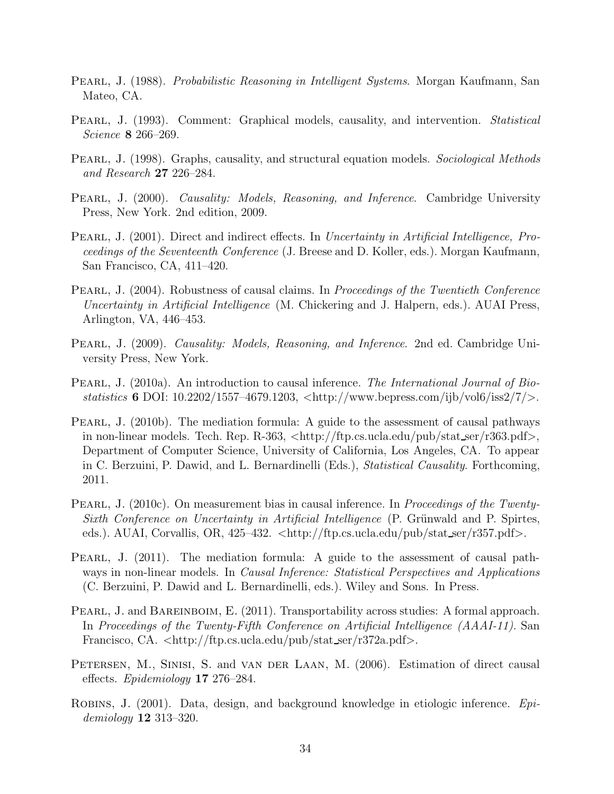- PEARL, J. (1988). *Probabilistic Reasoning in Intelligent Systems*. Morgan Kaufmann, San Mateo, CA.
- PEARL, J. (1993). Comment: Graphical models, causality, and intervention. *Statistical* Science 8 266–269.
- PEARL, J. (1998). Graphs, causality, and structural equation models. Sociological Methods and Research 27 226–284.
- PEARL, J. (2000). Causality: Models, Reasoning, and Inference. Cambridge University Press, New York. 2nd edition, 2009.
- PEARL, J. (2001). Direct and indirect effects. In Uncertainty in Artificial Intelligence, Proceedings of the Seventeenth Conference (J. Breese and D. Koller, eds.). Morgan Kaufmann, San Francisco, CA, 411–420.
- PEARL, J. (2004). Robustness of causal claims. In Proceedings of the Twentieth Conference Uncertainty in Artificial Intelligence (M. Chickering and J. Halpern, eds.). AUAI Press, Arlington, VA, 446–453.
- PEARL, J. (2009). Causality: Models, Reasoning, and Inference. 2nd ed. Cambridge University Press, New York.
- PEARL, J. (2010a). An introduction to causal inference. The International Journal of Biostatistics 6 DOI:  $10.2202/1557-4679.1203$ , <http://www.bepress.com/ijb/vol6/iss2/7/>.
- PEARL, J. (2010b). The mediation formula: A guide to the assessment of causal pathways in non-linear models. Tech. Rep. R-363,  $\langle \text{http://ftp.cs.ucla.edu/pub/stat-ser/r363.pdf}\rangle$ , Department of Computer Science, University of California, Los Angeles, CA. To appear in C. Berzuini, P. Dawid, and L. Bernardinelli (Eds.), Statistical Causality. Forthcoming, 2011.
- PEARL, J. (2010c). On measurement bias in causal inference. In *Proceedings of the Twenty-*Sixth Conference on Uncertainty in Artificial Intelligence  $(P. Griunwald and P. Spirtes,$ eds.). AUAI, Corvallis, OR,  $425-432$ .  $\langle \text{http://ftp.cs.ucla.edu/pub/stat-ser/r357.pdf}\rangle$ .
- PEARL, J. (2011). The mediation formula: A guide to the assessment of causal pathways in non-linear models. In *Causal Inference: Statistical Perspectives and Applications* (C. Berzuini, P. Dawid and L. Bernardinelli, eds.). Wiley and Sons. In Press.
- PEARL, J. and BAREINBOIM, E. (2011). Transportability across studies: A formal approach. In Proceedings of the Twenty-Fifth Conference on Artificial Intelligence (AAAI-11). San Francisco, CA. <http://ftp.cs.ucla.edu/pub/stat\_ser/r372a.pdf>.
- PETERSEN, M., SINISI, S. and VAN DER LAAN, M. (2006). Estimation of direct causal effects. Epidemiology 17 276–284.
- ROBINS, J. (2001). Data, design, and background knowledge in etiologic inference. Epidemiology 12 313–320.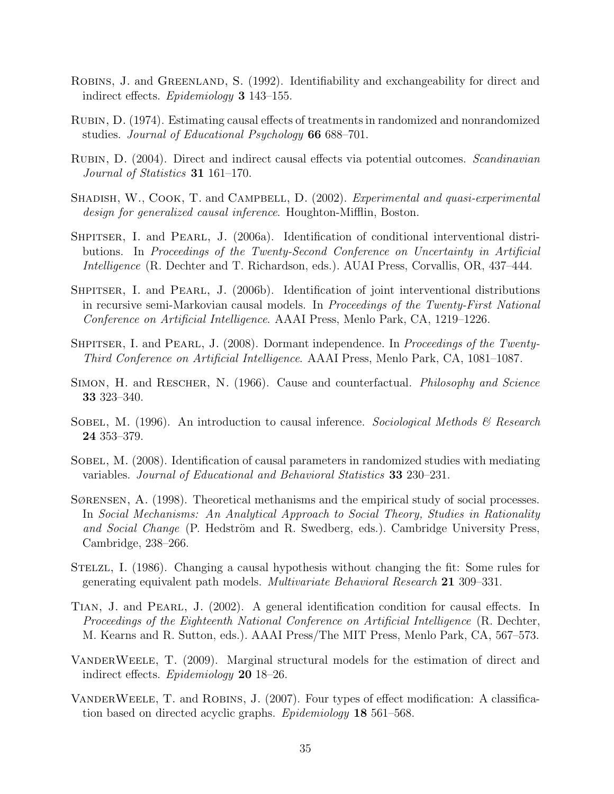- ROBINS, J. and GREENLAND, S. (1992). Identifiability and exchangeability for direct and indirect effects. Epidemiology 3 143–155.
- Rubin, D. (1974). Estimating causal effects of treatments in randomized and nonrandomized studies. Journal of Educational Psychology 66 688–701.
- Rubin, D. (2004). Direct and indirect causal effects via potential outcomes. Scandinavian Journal of Statistics 31 161–170.
- SHADISH, W., COOK, T. and CAMPBELL, D. (2002). Experimental and quasi-experimental design for generalized causal inference. Houghton-Mifflin, Boston.
- SHPITSER, I. and PEARL, J. (2006a). Identification of conditional interventional distributions. In Proceedings of the Twenty-Second Conference on Uncertainty in Artificial Intelligence (R. Dechter and T. Richardson, eds.). AUAI Press, Corvallis, OR, 437–444.
- SHPITSER, I. and PEARL, J. (2006b). Identification of joint interventional distributions in recursive semi-Markovian causal models. In Proceedings of the Twenty-First National Conference on Artificial Intelligence. AAAI Press, Menlo Park, CA, 1219–1226.
- SHPITSER, I. and PEARL, J. (2008). Dormant independence. In Proceedings of the Twenty-Third Conference on Artificial Intelligence. AAAI Press, Menlo Park, CA, 1081–1087.
- SIMON, H. and RESCHER, N. (1966). Cause and counterfactual. *Philosophy and Science* 33 323–340.
- SOBEL, M. (1996). An introduction to causal inference. Sociological Methods  $\mathcal{B}$  Research 24 353–379.
- SOBEL, M. (2008). Identification of causal parameters in randomized studies with mediating variables. Journal of Educational and Behavioral Statistics 33 230–231.
- Sørensen, A. (1998). Theoretical methanisms and the empirical study of social processes. In Social Mechanisms: An Analytical Approach to Social Theory, Studies in Rationality and Social Change (P. Hedström and R. Swedberg, eds.). Cambridge University Press, Cambridge, 238–266.
- Stelzl, I. (1986). Changing a causal hypothesis without changing the fit: Some rules for generating equivalent path models. Multivariate Behavioral Research 21 309–331.
- Tian, J. and Pearl, J. (2002). A general identification condition for causal effects. In Proceedings of the Eighteenth National Conference on Artificial Intelligence (R. Dechter, M. Kearns and R. Sutton, eds.). AAAI Press/The MIT Press, Menlo Park, CA, 567–573.
- VANDERWEELE, T. (2009). Marginal structural models for the estimation of direct and indirect effects. Epidemiology 20 18–26.
- VANDERWEELE, T. and ROBINS, J. (2007). Four types of effect modification: A classification based on directed acyclic graphs. Epidemiology 18 561–568.